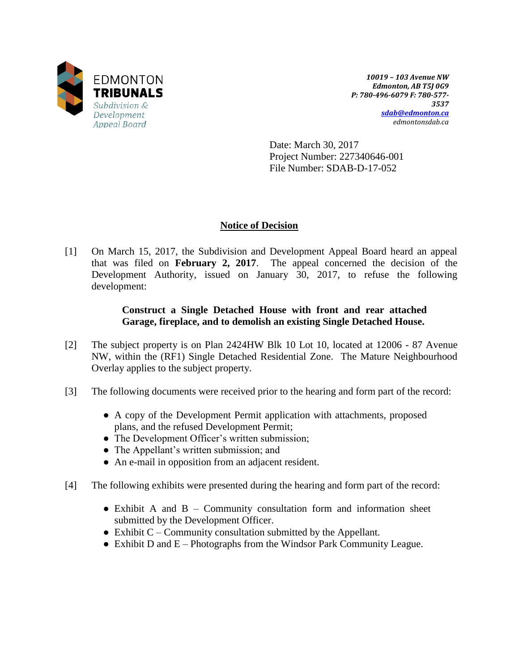

*10019 – 103 Avenue NW Edmonton, AB T5J 0G9 P: 780-496-6079 F: 780-577- 3537 [sdab@edmonton.ca](mailto:sdab@edmonton.ca) edmontonsdab.ca*

Date: March 30, 2017 Project Number: 227340646-001 File Number: SDAB-D-17-052

# **Notice of Decision**

[1] On March 15, 2017, the Subdivision and Development Appeal Board heard an appeal that was filed on **February 2, 2017**. The appeal concerned the decision of the Development Authority, issued on January 30, 2017, to refuse the following development:

# **Construct a Single Detached House with front and rear attached Garage, fireplace, and to demolish an existing Single Detached House.**

- [2] The subject property is on Plan 2424HW Blk 10 Lot 10, located at 12006 87 Avenue NW, within the (RF1) Single Detached Residential Zone. The Mature Neighbourhood Overlay applies to the subject property.
- [3] The following documents were received prior to the hearing and form part of the record:
	- A copy of the Development Permit application with attachments, proposed plans, and the refused Development Permit;
	- The Development Officer's written submission;
	- The Appellant's written submission; and
	- An e-mail in opposition from an adjacent resident.
- [4] The following exhibits were presented during the hearing and form part of the record:
	- Exhibit A and B Community consultation form and information sheet submitted by the Development Officer.
	- $\bullet$  Exhibit C Community consultation submitted by the Appellant.
	- Exhibit D and E Photographs from the Windsor Park Community League.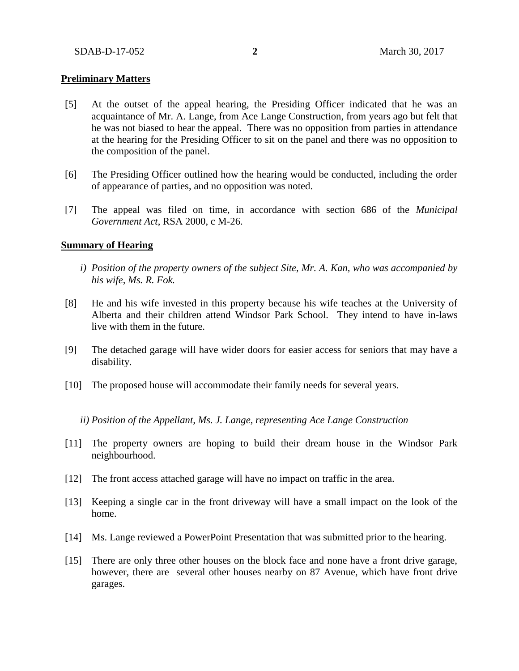### **Preliminary Matters**

- [5] At the outset of the appeal hearing, the Presiding Officer indicated that he was an acquaintance of Mr. A. Lange, from Ace Lange Construction, from years ago but felt that he was not biased to hear the appeal. There was no opposition from parties in attendance at the hearing for the Presiding Officer to sit on the panel and there was no opposition to the composition of the panel.
- [6] The Presiding Officer outlined how the hearing would be conducted, including the order of appearance of parties, and no opposition was noted.
- [7] The appeal was filed on time, in accordance with section 686 of the *Municipal Government Act*, RSA 2000, c M-26.

#### **Summary of Hearing**

- *i) Position of the property owners of the subject Site, Mr. A. Kan, who was accompanied by his wife, Ms. R. Fok.*
- [8] He and his wife invested in this property because his wife teaches at the University of Alberta and their children attend Windsor Park School. They intend to have in-laws live with them in the future.
- [9] The detached garage will have wider doors for easier access for seniors that may have a disability.
- [10] The proposed house will accommodate their family needs for several years.

*ii) Position of the Appellant, Ms. J. Lange, representing Ace Lange Construction*

- [11] The property owners are hoping to build their dream house in the Windsor Park neighbourhood.
- [12] The front access attached garage will have no impact on traffic in the area.
- [13] Keeping a single car in the front driveway will have a small impact on the look of the home.
- [14] Ms. Lange reviewed a PowerPoint Presentation that was submitted prior to the hearing.
- [15] There are only three other houses on the block face and none have a front drive garage, however, there are several other houses nearby on 87 Avenue, which have front drive garages.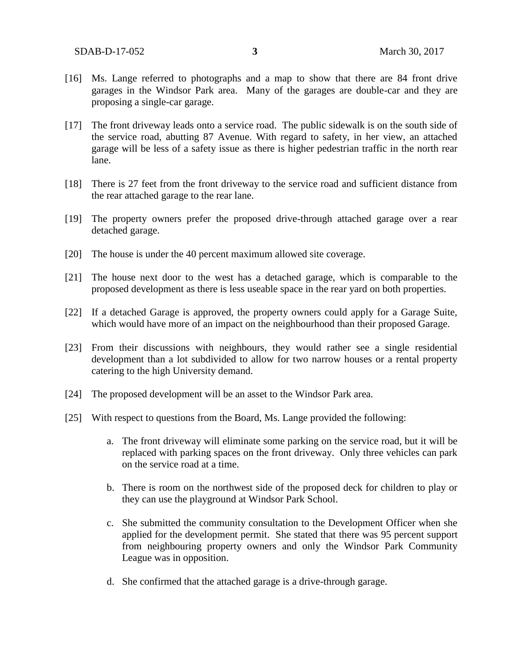- [16] Ms. Lange referred to photographs and a map to show that there are 84 front drive garages in the Windsor Park area. Many of the garages are double-car and they are proposing a single-car garage.
- [17] The front driveway leads onto a service road. The public sidewalk is on the south side of the service road, abutting 87 Avenue. With regard to safety, in her view, an attached garage will be less of a safety issue as there is higher pedestrian traffic in the north rear lane.
- [18] There is 27 feet from the front driveway to the service road and sufficient distance from the rear attached garage to the rear lane.
- [19] The property owners prefer the proposed drive-through attached garage over a rear detached garage.
- [20] The house is under the 40 percent maximum allowed site coverage.
- [21] The house next door to the west has a detached garage, which is comparable to the proposed development as there is less useable space in the rear yard on both properties.
- [22] If a detached Garage is approved, the property owners could apply for a Garage Suite, which would have more of an impact on the neighbourhood than their proposed Garage.
- [23] From their discussions with neighbours, they would rather see a single residential development than a lot subdivided to allow for two narrow houses or a rental property catering to the high University demand.
- [24] The proposed development will be an asset to the Windsor Park area.
- [25] With respect to questions from the Board, Ms. Lange provided the following:
	- a. The front driveway will eliminate some parking on the service road, but it will be replaced with parking spaces on the front driveway. Only three vehicles can park on the service road at a time.
	- b. There is room on the northwest side of the proposed deck for children to play or they can use the playground at Windsor Park School.
	- c. She submitted the community consultation to the Development Officer when she applied for the development permit. She stated that there was 95 percent support from neighbouring property owners and only the Windsor Park Community League was in opposition.
	- d. She confirmed that the attached garage is a drive-through garage.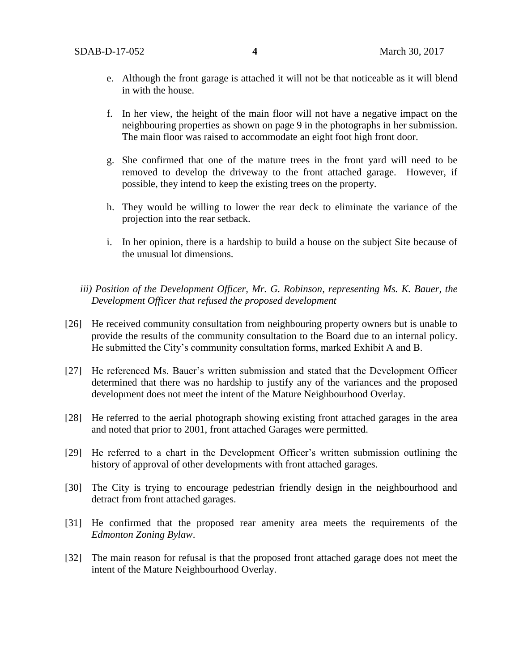- e. Although the front garage is attached it will not be that noticeable as it will blend in with the house.
- f. In her view, the height of the main floor will not have a negative impact on the neighbouring properties as shown on page 9 in the photographs in her submission. The main floor was raised to accommodate an eight foot high front door.
- g. She confirmed that one of the mature trees in the front yard will need to be removed to develop the driveway to the front attached garage. However, if possible, they intend to keep the existing trees on the property.
- h. They would be willing to lower the rear deck to eliminate the variance of the projection into the rear setback.
- i. In her opinion, there is a hardship to build a house on the subject Site because of the unusual lot dimensions.
- *iii) Position of the Development Officer, Mr. G. Robinson, representing Ms. K. Bauer, the Development Officer that refused the proposed development*
- [26] He received community consultation from neighbouring property owners but is unable to provide the results of the community consultation to the Board due to an internal policy. He submitted the City's community consultation forms, marked Exhibit A and B.
- [27] He referenced Ms. Bauer's written submission and stated that the Development Officer determined that there was no hardship to justify any of the variances and the proposed development does not meet the intent of the Mature Neighbourhood Overlay.
- [28] He referred to the aerial photograph showing existing front attached garages in the area and noted that prior to 2001, front attached Garages were permitted.
- [29] He referred to a chart in the Development Officer's written submission outlining the history of approval of other developments with front attached garages.
- [30] The City is trying to encourage pedestrian friendly design in the neighbourhood and detract from front attached garages.
- [31] He confirmed that the proposed rear amenity area meets the requirements of the *Edmonton Zoning Bylaw*.
- [32] The main reason for refusal is that the proposed front attached garage does not meet the intent of the Mature Neighbourhood Overlay.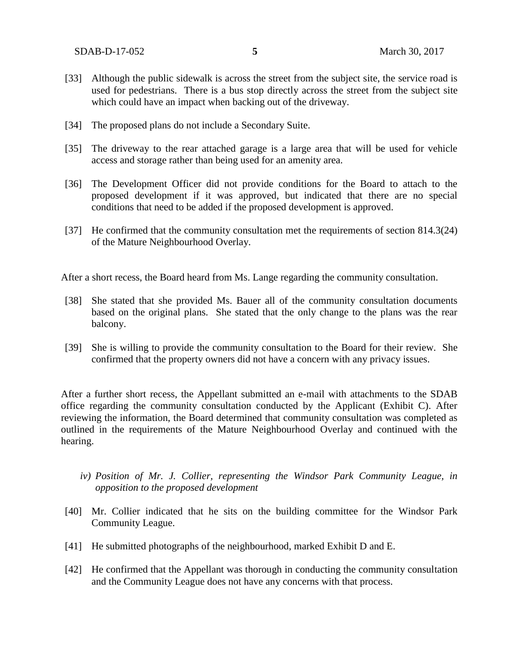SDAB-D-17-052 **5** March 30, 2017

- [33] Although the public sidewalk is across the street from the subject site, the service road is used for pedestrians. There is a bus stop directly across the street from the subject site which could have an impact when backing out of the driveway.
- [34] The proposed plans do not include a Secondary Suite.
- [35] The driveway to the rear attached garage is a large area that will be used for vehicle access and storage rather than being used for an amenity area.
- [36] The Development Officer did not provide conditions for the Board to attach to the proposed development if it was approved, but indicated that there are no special conditions that need to be added if the proposed development is approved.
- [37] He confirmed that the community consultation met the requirements of section 814.3(24) of the Mature Neighbourhood Overlay.

After a short recess, the Board heard from Ms. Lange regarding the community consultation.

- [38] She stated that she provided Ms. Bauer all of the community consultation documents based on the original plans. She stated that the only change to the plans was the rear balcony.
- [39] She is willing to provide the community consultation to the Board for their review. She confirmed that the property owners did not have a concern with any privacy issues.

After a further short recess, the Appellant submitted an e-mail with attachments to the SDAB office regarding the community consultation conducted by the Applicant (Exhibit C). After reviewing the information, the Board determined that community consultation was completed as outlined in the requirements of the Mature Neighbourhood Overlay and continued with the hearing.

- *iv) Position of Mr. J. Collier, representing the Windsor Park Community League, in opposition to the proposed development*
- [40] Mr. Collier indicated that he sits on the building committee for the Windsor Park Community League.
- [41] He submitted photographs of the neighbourhood, marked Exhibit D and E.
- [42] He confirmed that the Appellant was thorough in conducting the community consultation and the Community League does not have any concerns with that process.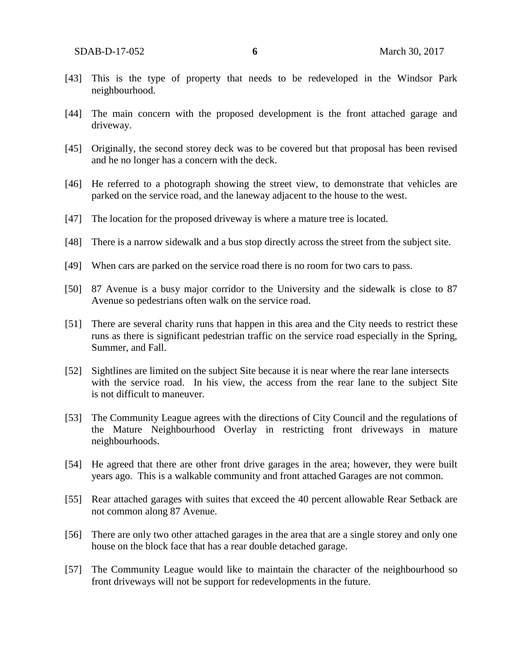- [43] This is the type of property that needs to be redeveloped in the Windsor Park neighbourhood.
- [44] The main concern with the proposed development is the front attached garage and driveway.
- [45] Originally, the second storey deck was to be covered but that proposal has been revised and he no longer has a concern with the deck.
- [46] He referred to a photograph showing the street view, to demonstrate that vehicles are parked on the service road, and the laneway adjacent to the house to the west.
- [47] The location for the proposed driveway is where a mature tree is located.
- [48] There is a narrow sidewalk and a bus stop directly across the street from the subject site.
- [49] When cars are parked on the service road there is no room for two cars to pass.
- [50] 87 Avenue is a busy major corridor to the University and the sidewalk is close to 87 Avenue so pedestrians often walk on the service road.
- [51] There are several charity runs that happen in this area and the City needs to restrict these runs as there is significant pedestrian traffic on the service road especially in the Spring, Summer, and Fall.
- [52] Sightlines are limited on the subject Site because it is near where the rear lane intersects with the service road. In his view, the access from the rear lane to the subject Site is not difficult to maneuver.
- [53] The Community League agrees with the directions of City Council and the regulations of the Mature Neighbourhood Overlay in restricting front driveways in mature neighbourhoods.
- [54] He agreed that there are other front drive garages in the area; however, they were built years ago. This is a walkable community and front attached Garages are not common.
- [55] Rear attached garages with suites that exceed the 40 percent allowable Rear Setback are not common along 87 Avenue.
- [56] There are only two other attached garages in the area that are a single storey and only one house on the block face that has a rear double detached garage.
- [57] The Community League would like to maintain the character of the neighbourhood so front driveways will not be support for redevelopments in the future.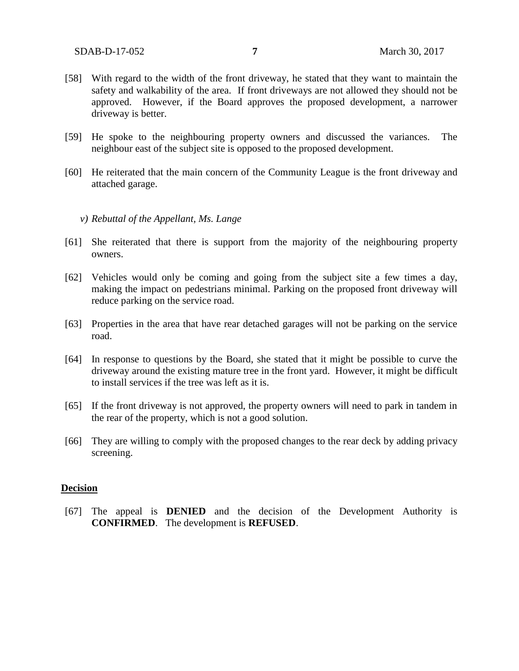- [58] With regard to the width of the front driveway, he stated that they want to maintain the safety and walkability of the area. If front driveways are not allowed they should not be approved. However, if the Board approves the proposed development, a narrower driveway is better.
- [59] He spoke to the neighbouring property owners and discussed the variances. The neighbour east of the subject site is opposed to the proposed development.
- [60] He reiterated that the main concern of the Community League is the front driveway and attached garage.

#### *v) Rebuttal of the Appellant, Ms. Lange*

- [61] She reiterated that there is support from the majority of the neighbouring property owners.
- [62] Vehicles would only be coming and going from the subject site a few times a day, making the impact on pedestrians minimal. Parking on the proposed front driveway will reduce parking on the service road.
- [63] Properties in the area that have rear detached garages will not be parking on the service road.
- [64] In response to questions by the Board, she stated that it might be possible to curve the driveway around the existing mature tree in the front yard. However, it might be difficult to install services if the tree was left as it is.
- [65] If the front driveway is not approved, the property owners will need to park in tandem in the rear of the property, which is not a good solution.
- [66] They are willing to comply with the proposed changes to the rear deck by adding privacy screening.

#### **Decision**

[67] The appeal is **DENIED** and the decision of the Development Authority is **CONFIRMED**. The development is **REFUSED**.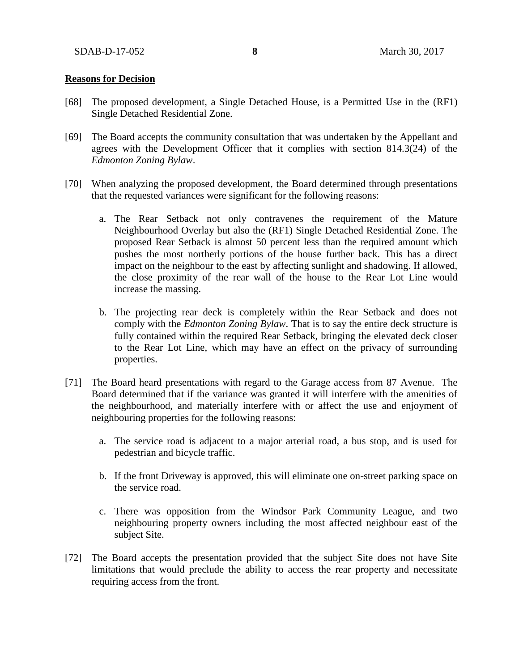### **Reasons for Decision**

- [68] The proposed development, a Single Detached House, is a Permitted Use in the (RF1) Single Detached Residential Zone.
- [69] The Board accepts the community consultation that was undertaken by the Appellant and agrees with the Development Officer that it complies with section 814.3(24) of the *Edmonton Zoning Bylaw*.
- [70] When analyzing the proposed development, the Board determined through presentations that the requested variances were significant for the following reasons:
	- a. The Rear Setback not only contravenes the requirement of the Mature Neighbourhood Overlay but also the (RF1) Single Detached Residential Zone. The proposed Rear Setback is almost 50 percent less than the required amount which pushes the most northerly portions of the house further back. This has a direct impact on the neighbour to the east by affecting sunlight and shadowing. If allowed, the close proximity of the rear wall of the house to the Rear Lot Line would increase the massing.
	- b. The projecting rear deck is completely within the Rear Setback and does not comply with the *Edmonton Zoning Bylaw*. That is to say the entire deck structure is fully contained within the required Rear Setback, bringing the elevated deck closer to the Rear Lot Line, which may have an effect on the privacy of surrounding properties.
- [71] The Board heard presentations with regard to the Garage access from 87 Avenue. The Board determined that if the variance was granted it will interfere with the amenities of the neighbourhood, and materially interfere with or affect the use and enjoyment of neighbouring properties for the following reasons:
	- a. The service road is adjacent to a major arterial road, a bus stop, and is used for pedestrian and bicycle traffic.
	- b. If the front Driveway is approved, this will eliminate one on-street parking space on the service road.
	- c. There was opposition from the Windsor Park Community League, and two neighbouring property owners including the most affected neighbour east of the subject Site.
- [72] The Board accepts the presentation provided that the subject Site does not have Site limitations that would preclude the ability to access the rear property and necessitate requiring access from the front.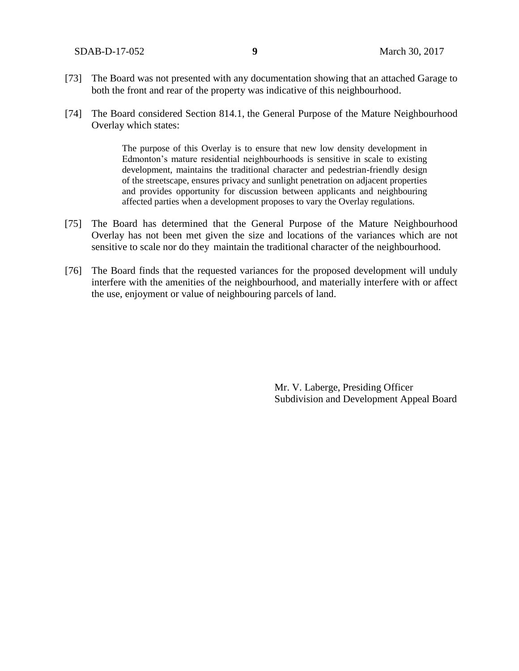SDAB-D-17-052 **9** March 30, 2017

- [73] The Board was not presented with any documentation showing that an attached Garage to both the front and rear of the property was indicative of this neighbourhood.
- [74] The Board considered Section 814.1, the General Purpose of the Mature Neighbourhood Overlay which states:

The purpose of this Overlay is to ensure that new low density development in Edmonton's mature residential neighbourhoods is sensitive in scale to existing development, maintains the traditional character and pedestrian-friendly design of the streetscape, ensures privacy and sunlight penetration on adjacent properties and provides opportunity for discussion between applicants and neighbouring affected parties when a development proposes to vary the Overlay regulations.

- [75] The Board has determined that the General Purpose of the Mature Neighbourhood Overlay has not been met given the size and locations of the variances which are not sensitive to scale nor do they maintain the traditional character of the neighbourhood.
- [76] The Board finds that the requested variances for the proposed development will unduly interfere with the amenities of the neighbourhood, and materially interfere with or affect the use, enjoyment or value of neighbouring parcels of land.

Mr. V. Laberge, Presiding Officer Subdivision and Development Appeal Board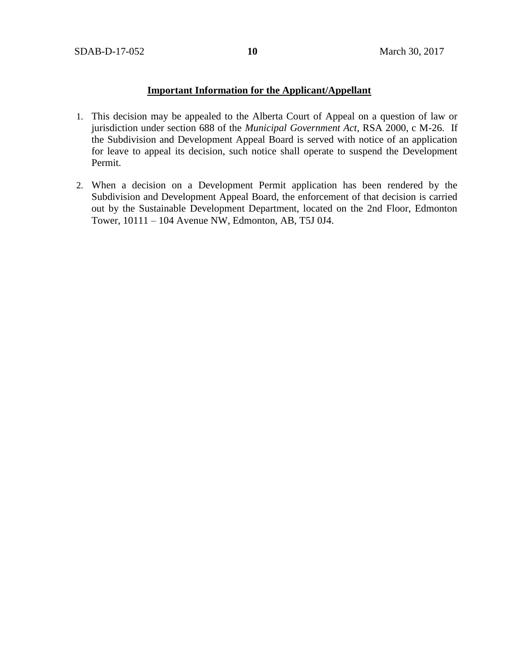## **Important Information for the Applicant/Appellant**

- 1. This decision may be appealed to the Alberta Court of Appeal on a question of law or jurisdiction under section 688 of the *Municipal Government Act*, RSA 2000, c M-26. If the Subdivision and Development Appeal Board is served with notice of an application for leave to appeal its decision, such notice shall operate to suspend the Development Permit.
- 2. When a decision on a Development Permit application has been rendered by the Subdivision and Development Appeal Board, the enforcement of that decision is carried out by the Sustainable Development Department, located on the 2nd Floor, Edmonton Tower, 10111 – 104 Avenue NW, Edmonton, AB, T5J 0J4.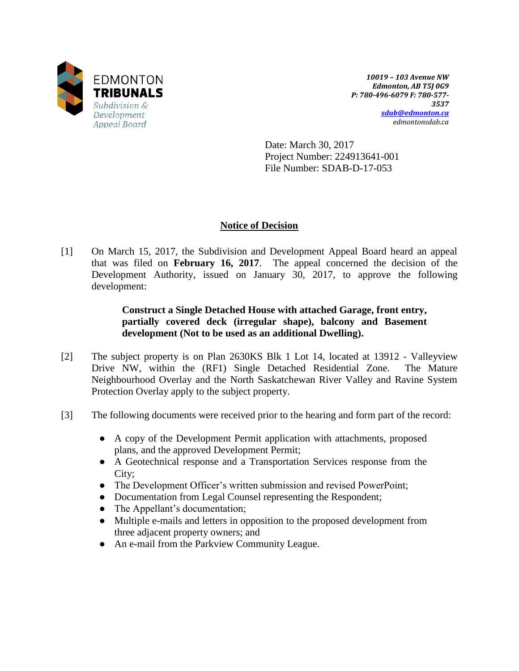

*10019 – 103 Avenue NW Edmonton, AB T5J 0G9 P: 780-496-6079 F: 780-577- 3537 [sdab@edmonton.ca](mailto:sdab@edmonton.ca) edmontonsdab.ca*

Date: March 30, 2017 Project Number: 224913641-001 File Number: SDAB-D-17-053

# **Notice of Decision**

[1] On March 15, 2017, the Subdivision and Development Appeal Board heard an appeal that was filed on **February 16, 2017**. The appeal concerned the decision of the Development Authority, issued on January 30, 2017, to approve the following development:

# **Construct a Single Detached House with attached Garage, front entry, partially covered deck (irregular shape), balcony and Basement development (Not to be used as an additional Dwelling).**

- [2] The subject property is on Plan 2630KS Blk 1 Lot 14, located at 13912 Valleyview Drive NW, within the (RF1) Single Detached Residential Zone. The Mature Neighbourhood Overlay and the North Saskatchewan River Valley and Ravine System Protection Overlay apply to the subject property.
- [3] The following documents were received prior to the hearing and form part of the record:
	- A copy of the Development Permit application with attachments, proposed plans, and the approved Development Permit;
	- A Geotechnical response and a Transportation Services response from the City;
	- The Development Officer's written submission and revised PowerPoint;
	- Documentation from Legal Counsel representing the Respondent;
	- The Appellant's documentation;
	- Multiple e-mails and letters in opposition to the proposed development from three adjacent property owners; and
	- An e-mail from the Parkview Community League.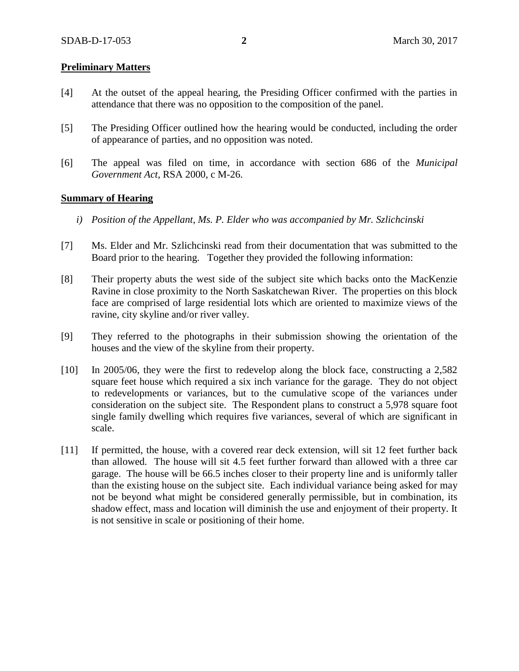### **Preliminary Matters**

- [4] At the outset of the appeal hearing, the Presiding Officer confirmed with the parties in attendance that there was no opposition to the composition of the panel.
- [5] The Presiding Officer outlined how the hearing would be conducted, including the order of appearance of parties, and no opposition was noted.
- [6] The appeal was filed on time, in accordance with section 686 of the *Municipal Government Act*, RSA 2000, c M-26.

#### **Summary of Hearing**

- *i) Position of the Appellant, Ms. P. Elder who was accompanied by Mr. Szlichcinski*
- [7] Ms. Elder and Mr. Szlichcinski read from their documentation that was submitted to the Board prior to the hearing. Together they provided the following information:
- [8] Their property abuts the west side of the subject site which backs onto the MacKenzie Ravine in close proximity to the North Saskatchewan River. The properties on this block face are comprised of large residential lots which are oriented to maximize views of the ravine, city skyline and/or river valley.
- [9] They referred to the photographs in their submission showing the orientation of the houses and the view of the skyline from their property.
- [10] In 2005/06, they were the first to redevelop along the block face, constructing a 2,582 square feet house which required a six inch variance for the garage. They do not object to redevelopments or variances, but to the cumulative scope of the variances under consideration on the subject site. The Respondent plans to construct a 5,978 square foot single family dwelling which requires five variances, several of which are significant in scale.
- [11] If permitted, the house, with a covered rear deck extension, will sit 12 feet further back than allowed. The house will sit 4.5 feet further forward than allowed with a three car garage. The house will be 66.5 inches closer to their property line and is uniformly taller than the existing house on the subject site. Each individual variance being asked for may not be beyond what might be considered generally permissible, but in combination, its shadow effect, mass and location will diminish the use and enjoyment of their property. It is not sensitive in scale or positioning of their home.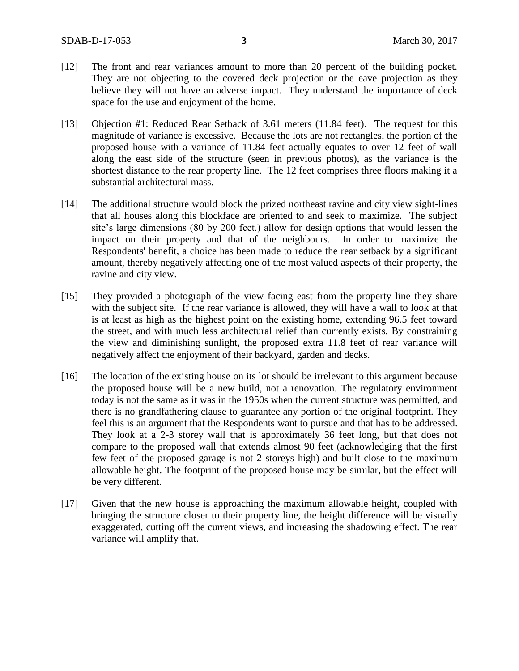- [12] The front and rear variances amount to more than 20 percent of the building pocket. They are not objecting to the covered deck projection or the eave projection as they believe they will not have an adverse impact. They understand the importance of deck space for the use and enjoyment of the home.
- [13] Objection #1: Reduced Rear Setback of 3.61 meters (11.84 feet). The request for this magnitude of variance is excessive. Because the lots are not rectangles, the portion of the proposed house with a variance of 11.84 feet actually equates to over 12 feet of wall along the east side of the structure (seen in previous photos), as the variance is the shortest distance to the rear property line. The 12 feet comprises three floors making it a substantial architectural mass.
- [14] The additional structure would block the prized northeast ravine and city view sight-lines that all houses along this blockface are oriented to and seek to maximize. The subject site's large dimensions (80 by 200 feet.) allow for design options that would lessen the impact on their property and that of the neighbours. In order to maximize the Respondents' benefit, a choice has been made to reduce the rear setback by a significant amount, thereby negatively affecting one of the most valued aspects of their property, the ravine and city view.
- [15] They provided a photograph of the view facing east from the property line they share with the subject site. If the rear variance is allowed, they will have a wall to look at that is at least as high as the highest point on the existing home, extending 96.5 feet toward the street, and with much less architectural relief than currently exists. By constraining the view and diminishing sunlight, the proposed extra 11.8 feet of rear variance will negatively affect the enjoyment of their backyard, garden and decks.
- [16] The location of the existing house on its lot should be irrelevant to this argument because the proposed house will be a new build, not a renovation. The regulatory environment today is not the same as it was in the 1950s when the current structure was permitted, and there is no grandfathering clause to guarantee any portion of the original footprint. They feel this is an argument that the Respondents want to pursue and that has to be addressed. They look at a 2-3 storey wall that is approximately 36 feet long, but that does not compare to the proposed wall that extends almost 90 feet (acknowledging that the first few feet of the proposed garage is not 2 storeys high) and built close to the maximum allowable height. The footprint of the proposed house may be similar, but the effect will be very different.
- [17] Given that the new house is approaching the maximum allowable height, coupled with bringing the structure closer to their property line, the height difference will be visually exaggerated, cutting off the current views, and increasing the shadowing effect. The rear variance will amplify that.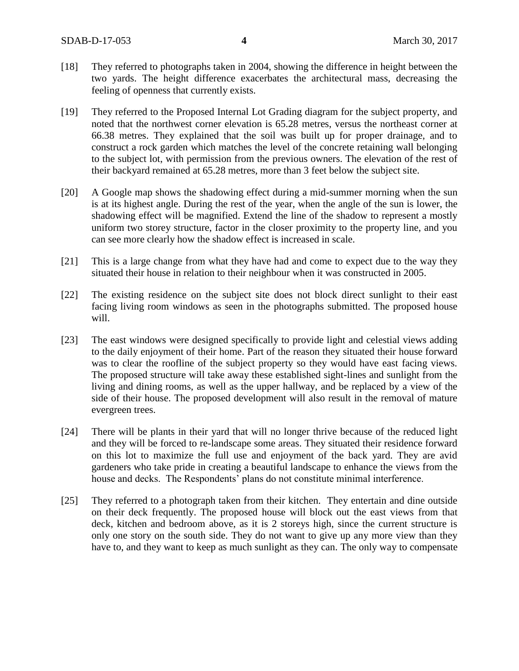- [18] They referred to photographs taken in 2004, showing the difference in height between the two yards. The height difference exacerbates the architectural mass, decreasing the feeling of openness that currently exists.
- [19] They referred to the Proposed Internal Lot Grading diagram for the subject property, and noted that the northwest corner elevation is 65.28 metres, versus the northeast corner at 66.38 metres. They explained that the soil was built up for proper drainage, and to construct a rock garden which matches the level of the concrete retaining wall belonging to the subject lot, with permission from the previous owners. The elevation of the rest of their backyard remained at 65.28 metres, more than 3 feet below the subject site.
- [20] A Google map shows the shadowing effect during a mid-summer morning when the sun is at its highest angle. During the rest of the year, when the angle of the sun is lower, the shadowing effect will be magnified. Extend the line of the shadow to represent a mostly uniform two storey structure, factor in the closer proximity to the property line, and you can see more clearly how the shadow effect is increased in scale.
- [21] This is a large change from what they have had and come to expect due to the way they situated their house in relation to their neighbour when it was constructed in 2005.
- [22] The existing residence on the subject site does not block direct sunlight to their east facing living room windows as seen in the photographs submitted. The proposed house will.
- [23] The east windows were designed specifically to provide light and celestial views adding to the daily enjoyment of their home. Part of the reason they situated their house forward was to clear the roofline of the subject property so they would have east facing views. The proposed structure will take away these established sight-lines and sunlight from the living and dining rooms, as well as the upper hallway, and be replaced by a view of the side of their house. The proposed development will also result in the removal of mature evergreen trees.
- [24] There will be plants in their yard that will no longer thrive because of the reduced light and they will be forced to re-landscape some areas. They situated their residence forward on this lot to maximize the full use and enjoyment of the back yard. They are avid gardeners who take pride in creating a beautiful landscape to enhance the views from the house and decks. The Respondents' plans do not constitute minimal interference.
- [25] They referred to a photograph taken from their kitchen. They entertain and dine outside on their deck frequently. The proposed house will block out the east views from that deck, kitchen and bedroom above, as it is 2 storeys high, since the current structure is only one story on the south side. They do not want to give up any more view than they have to, and they want to keep as much sunlight as they can. The only way to compensate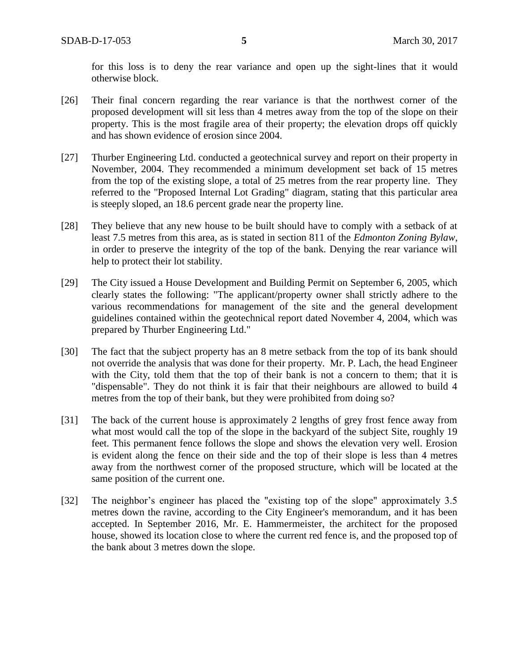for this loss is to deny the rear variance and open up the sight-lines that it would otherwise block.

- [26] Their final concern regarding the rear variance is that the northwest corner of the proposed development will sit less than 4 metres away from the top of the slope on their property. This is the most fragile area of their property; the elevation drops off quickly and has shown evidence of erosion since 2004.
- [27] Thurber Engineering Ltd. conducted a geotechnical survey and report on their property in November, 2004. They recommended a minimum development set back of 15 metres from the top of the existing slope, a total of 25 metres from the rear property line. They referred to the "Proposed Internal Lot Grading" diagram, stating that this particular area is steeply sloped, an 18.6 percent grade near the property line.
- [28] They believe that any new house to be built should have to comply with a setback of at least 7.5 metres from this area, as is stated in section 811 of the *Edmonton Zoning Bylaw*, in order to preserve the integrity of the top of the bank. Denying the rear variance will help to protect their lot stability.
- [29] The City issued a House Development and Building Permit on September 6, 2005, which clearly states the following: "The applicant/property owner shall strictly adhere to the various recommendations for management of the site and the general development guidelines contained within the geotechnical report dated November 4, 2004, which was prepared by Thurber Engineering Ltd."
- [30] The fact that the subject property has an 8 metre setback from the top of its bank should not override the analysis that was done for their property. Mr. P. Lach, the head Engineer with the City, told them that the top of their bank is not a concern to them; that it is "dispensable". They do not think it is fair that their neighbours are allowed to build 4 metres from the top of their bank, but they were prohibited from doing so?
- [31] The back of the current house is approximately 2 lengths of grey frost fence away from what most would call the top of the slope in the backyard of the subject Site, roughly 19 feet. This permanent fence follows the slope and shows the elevation very well. Erosion is evident along the fence on their side and the top of their slope is less than 4 metres away from the northwest corner of the proposed structure, which will be located at the same position of the current one.
- [32] The neighbor's engineer has placed the "existing top of the slope" approximately 3.5 metres down the ravine, according to the City Engineer's memorandum, and it has been accepted. In September 2016, Mr. E. Hammermeister, the architect for the proposed house, showed its location close to where the current red fence is, and the proposed top of the bank about 3 metres down the slope.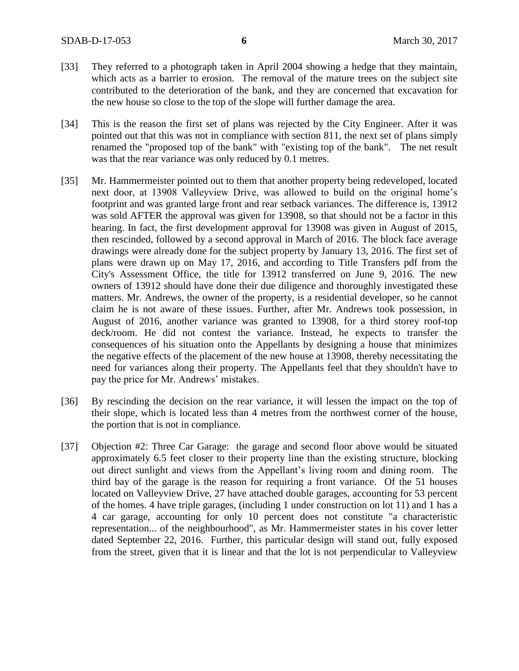- [33] They referred to a photograph taken in April 2004 showing a hedge that they maintain, which acts as a barrier to erosion. The removal of the mature trees on the subject site contributed to the deterioration of the bank, and they are concerned that excavation for the new house so close to the top of the slope will further damage the area.
- [34] This is the reason the first set of plans was rejected by the City Engineer. After it was pointed out that this was not in compliance with section 811, the next set of plans simply renamed the "proposed top of the bank" with "existing top of the bank". The net result was that the rear variance was only reduced by 0.1 metres.
- [35] Mr. Hammermeister pointed out to them that another property being redeveloped, located next door, at 13908 Valleyview Drive, was allowed to build on the original home's footprint and was granted large front and rear setback variances. The difference is, 13912 was sold AFTER the approval was given for 13908, so that should not be a factor in this hearing. In fact, the first development approval for 13908 was given in August of 2015, then rescinded, followed by a second approval in March of 2016. The block face average drawings were already done for the subject property by January 13, 2016. The first set of plans were drawn up on May 17, 2016, and according to Title Transfers pdf from the City's Assessment Office, the title for 13912 transferred on June 9, 2016. The new owners of 13912 should have done their due diligence and thoroughly investigated these matters. Mr. Andrews, the owner of the property, is a residential developer, so he cannot claim he is not aware of these issues. Further, after Mr. Andrews took possession, in August of 2016, another variance was granted to 13908, for a third storey roof-top deck/room. He did not contest the variance. Instead, he expects to transfer the consequences of his situation onto the Appellants by designing a house that minimizes the negative effects of the placement of the new house at 13908, thereby necessitating the need for variances along their property. The Appellants feel that they shouldn't have to pay the price for Mr. Andrews' mistakes.
- [36] By rescinding the decision on the rear variance, it will lessen the impact on the top of their slope, which is located less than 4 metres from the northwest corner of the house, the portion that is not in compliance.
- [37] Objection #2: Three Car Garage: the garage and second floor above would be situated approximately 6.5 feet closer to their property line than the existing structure, blocking out direct sunlight and views from the Appellant's living room and dining room. The third bay of the garage is the reason for requiring a front variance. Of the 51 houses located on Valleyview Drive, 27 have attached double garages, accounting for 53 percent of the homes. 4 have triple garages, (including 1 under construction on lot 11) and 1 has a 4 car garage, accounting for only 10 percent does not constitute "a characteristic representation... of the neighbourhood", as Mr. Hammermeister states in his cover letter dated September 22, 2016. Further, this particular design will stand out, fully exposed from the street, given that it is linear and that the lot is not perpendicular to Valleyview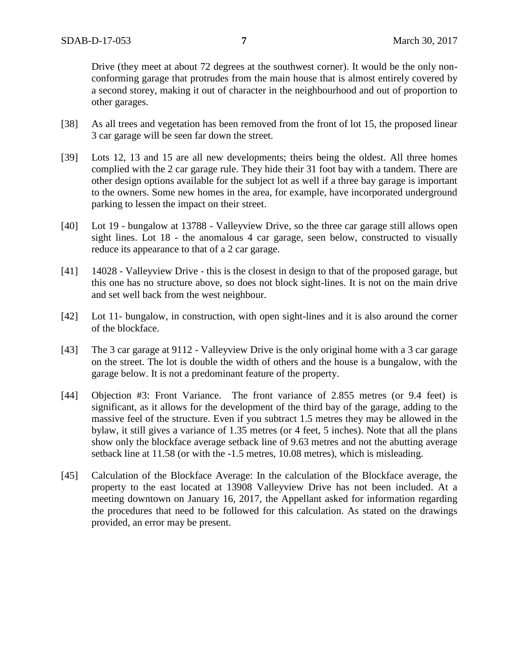Drive (they meet at about 72 degrees at the southwest corner). It would be the only nonconforming garage that protrudes from the main house that is almost entirely covered by a second storey, making it out of character in the neighbourhood and out of proportion to other garages.

- [38] As all trees and vegetation has been removed from the front of lot 15, the proposed linear 3 car garage will be seen far down the street.
- [39] Lots 12, 13 and 15 are all new developments; theirs being the oldest. All three homes complied with the 2 car garage rule. They hide their 31 foot bay with a tandem. There are other design options available for the subject lot as well if a three bay garage is important to the owners. Some new homes in the area, for example, have incorporated underground parking to lessen the impact on their street.
- [40] Lot 19 bungalow at 13788 Valleyview Drive, so the three car garage still allows open sight lines. Lot 18 - the anomalous 4 car garage, seen below, constructed to visually reduce its appearance to that of a 2 car garage.
- [41] 14028 Valleyview Drive this is the closest in design to that of the proposed garage, but this one has no structure above, so does not block sight-lines. It is not on the main drive and set well back from the west neighbour.
- [42] Lot 11- bungalow, in construction, with open sight-lines and it is also around the corner of the blockface.
- [43] The 3 car garage at 9112 Valleyview Drive is the only original home with a 3 car garage on the street. The lot is double the width of others and the house is a bungalow, with the garage below. It is not a predominant feature of the property.
- [44] Objection #3: Front Variance. The front variance of 2.855 metres (or 9.4 feet) is significant, as it allows for the development of the third bay of the garage, adding to the massive feel of the structure. Even if you subtract 1.5 metres they may be allowed in the bylaw, it still gives a variance of 1.35 metres (or 4 feet, 5 inches). Note that all the plans show only the blockface average setback line of 9.63 metres and not the abutting average setback line at 11.58 (or with the -1.5 metres, 10.08 metres), which is misleading.
- [45] Calculation of the Blockface Average: In the calculation of the Blockface average, the property to the east located at 13908 Valleyview Drive has not been included. At a meeting downtown on January 16, 2017, the Appellant asked for information regarding the procedures that need to be followed for this calculation. As stated on the drawings provided, an error may be present.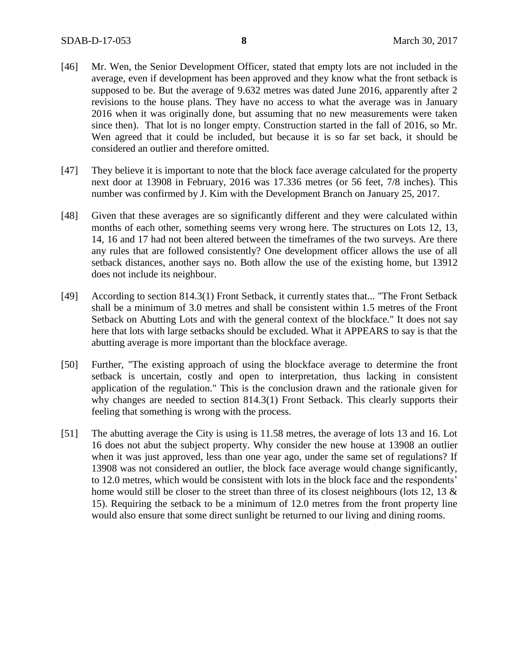- [46] Mr. Wen, the Senior Development Officer, stated that empty lots are not included in the average, even if development has been approved and they know what the front setback is supposed to be. But the average of 9.632 metres was dated June 2016, apparently after 2 revisions to the house plans. They have no access to what the average was in January 2016 when it was originally done, but assuming that no new measurements were taken since then). That lot is no longer empty. Construction started in the fall of 2016, so Mr. Wen agreed that it could be included, but because it is so far set back, it should be considered an outlier and therefore omitted.
- [47] They believe it is important to note that the block face average calculated for the property next door at 13908 in February, 2016 was 17.336 metres (or 56 feet, 7/8 inches). This number was confirmed by J. Kim with the Development Branch on January 25, 2017.
- [48] Given that these averages are so significantly different and they were calculated within months of each other, something seems very wrong here. The structures on Lots 12, 13, 14, 16 and 17 had not been altered between the timeframes of the two surveys. Are there any rules that are followed consistently? One development officer allows the use of all setback distances, another says no. Both allow the use of the existing home, but 13912 does not include its neighbour.
- [49] According to section 814.3(1) Front Setback, it currently states that... "The Front Setback shall be a minimum of 3.0 metres and shall be consistent within 1.5 metres of the Front Setback on Abutting Lots and with the general context of the blockface." It does not say here that lots with large setbacks should be excluded. What it APPEARS to say is that the abutting average is more important than the blockface average.
- [50] Further, "The existing approach of using the blockface average to determine the front setback is uncertain, costly and open to interpretation, thus lacking in consistent application of the regulation." This is the conclusion drawn and the rationale given for why changes are needed to section 814.3(1) Front Setback. This clearly supports their feeling that something is wrong with the process.
- [51] The abutting average the City is using is 11.58 metres, the average of lots 13 and 16. Lot 16 does not abut the subject property. Why consider the new house at 13908 an outlier when it was just approved, less than one year ago, under the same set of regulations? If 13908 was not considered an outlier, the block face average would change significantly, to 12.0 metres, which would be consistent with lots in the block face and the respondents' home would still be closer to the street than three of its closest neighbours (lots 12, 13  $\&$ 15). Requiring the setback to be a minimum of 12.0 metres from the front property line would also ensure that some direct sunlight be returned to our living and dining rooms.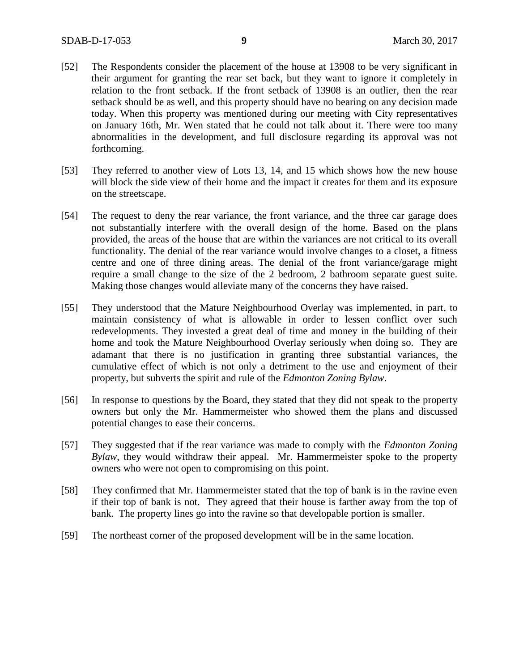- [52] The Respondents consider the placement of the house at 13908 to be very significant in their argument for granting the rear set back, but they want to ignore it completely in relation to the front setback. If the front setback of 13908 is an outlier, then the rear setback should be as well, and this property should have no bearing on any decision made today. When this property was mentioned during our meeting with City representatives on January 16th, Mr. Wen stated that he could not talk about it. There were too many abnormalities in the development, and full disclosure regarding its approval was not forthcoming.
- [53] They referred to another view of Lots 13, 14, and 15 which shows how the new house will block the side view of their home and the impact it creates for them and its exposure on the streetscape.
- [54] The request to deny the rear variance, the front variance, and the three car garage does not substantially interfere with the overall design of the home. Based on the plans provided, the areas of the house that are within the variances are not critical to its overall functionality. The denial of the rear variance would involve changes to a closet, a fitness centre and one of three dining areas. The denial of the front variance/garage might require a small change to the size of the 2 bedroom, 2 bathroom separate guest suite. Making those changes would alleviate many of the concerns they have raised.
- [55] They understood that the Mature Neighbourhood Overlay was implemented, in part, to maintain consistency of what is allowable in order to lessen conflict over such redevelopments. They invested a great deal of time and money in the building of their home and took the Mature Neighbourhood Overlay seriously when doing so. They are adamant that there is no justification in granting three substantial variances, the cumulative effect of which is not only a detriment to the use and enjoyment of their property, but subverts the spirit and rule of the *Edmonton Zoning Bylaw*.
- [56] In response to questions by the Board, they stated that they did not speak to the property owners but only the Mr. Hammermeister who showed them the plans and discussed potential changes to ease their concerns.
- [57] They suggested that if the rear variance was made to comply with the *Edmonton Zoning Bylaw*, they would withdraw their appeal. Mr. Hammermeister spoke to the property owners who were not open to compromising on this point.
- [58] They confirmed that Mr. Hammermeister stated that the top of bank is in the ravine even if their top of bank is not. They agreed that their house is farther away from the top of bank.The property lines go into the ravine so that developable portion is smaller.
- [59] The northeast corner of the proposed development will be in the same location.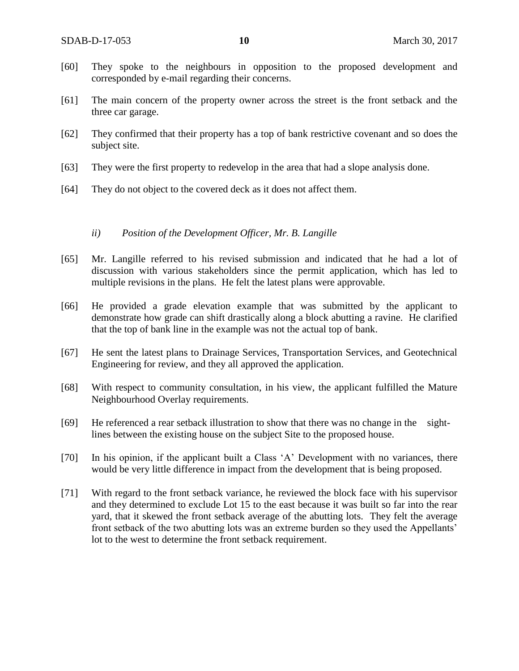- [60] They spoke to the neighbours in opposition to the proposed development and corresponded by e-mail regarding their concerns.
- [61] The main concern of the property owner across the street is the front setback and the three car garage.
- [62] They confirmed that their property has a top of bank restrictive covenant and so does the subject site.
- [63] They were the first property to redevelop in the area that had a slope analysis done.
- [64] They do not object to the covered deck as it does not affect them.

### *ii) Position of the Development Officer, Mr. B. Langille*

- [65] Mr. Langille referred to his revised submission and indicated that he had a lot of discussion with various stakeholders since the permit application, which has led to multiple revisions in the plans. He felt the latest plans were approvable.
- [66] He provided a grade elevation example that was submitted by the applicant to demonstrate how grade can shift drastically along a block abutting a ravine. He clarified that the top of bank line in the example was not the actual top of bank.
- [67] He sent the latest plans to Drainage Services, Transportation Services, and Geotechnical Engineering for review, and they all approved the application.
- [68] With respect to community consultation, in his view, the applicant fulfilled the Mature Neighbourhood Overlay requirements.
- [69] He referenced a rear setback illustration to show that there was no change in the sightlines between the existing house on the subject Site to the proposed house.
- [70] In his opinion, if the applicant built a Class 'A' Development with no variances, there would be very little difference in impact from the development that is being proposed.
- [71] With regard to the front setback variance, he reviewed the block face with his supervisor and they determined to exclude Lot 15 to the east because it was built so far into the rear yard, that it skewed the front setback average of the abutting lots. They felt the average front setback of the two abutting lots was an extreme burden so they used the Appellants' lot to the west to determine the front setback requirement.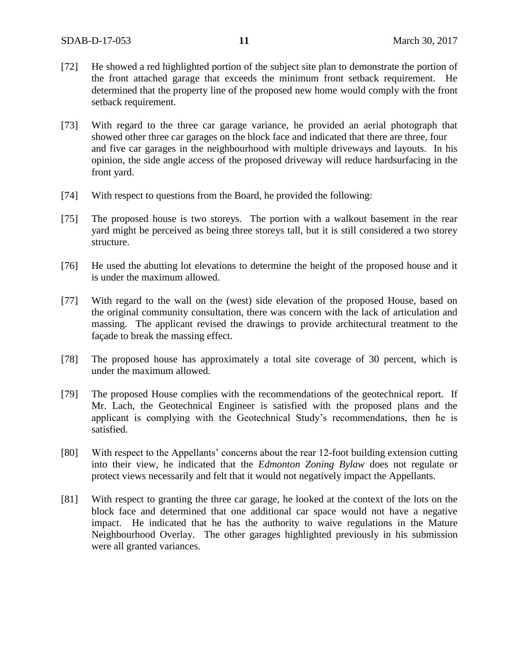- [72] He showed a red highlighted portion of the subject site plan to demonstrate the portion of the front attached garage that exceeds the minimum front setback requirement. He determined that the property line of the proposed new home would comply with the front setback requirement.
- [73] With regard to the three car garage variance, he provided an aerial photograph that showed other three car garages on the block face and indicated that there are three, four and five car garages in the neighbourhood with multiple driveways and layouts. In his opinion, the side angle access of the proposed driveway will reduce hardsurfacing in the front yard.
- [74] With respect to questions from the Board, he provided the following:
- [75] The proposed house is two storeys. The portion with a walkout basement in the rear yard might be perceived as being three storeys tall, but it is still considered a two storey structure.
- [76] He used the abutting lot elevations to determine the height of the proposed house and it is under the maximum allowed.
- [77] With regard to the wall on the (west) side elevation of the proposed House, based on the original community consultation, there was concern with the lack of articulation and massing. The applicant revised the drawings to provide architectural treatment to the façade to break the massing effect.
- [78] The proposed house has approximately a total site coverage of 30 percent, which is under the maximum allowed.
- [79] The proposed House complies with the recommendations of the geotechnical report. If Mr. Lach, the Geotechnical Engineer is satisfied with the proposed plans and the applicant is complying with the Geotechnical Study's recommendations, then he is satisfied.
- [80] With respect to the Appellants' concerns about the rear 12-foot building extension cutting into their view, he indicated that the *Edmonton Zoning Bylaw* does not regulate or protect views necessarily and felt that it would not negatively impact the Appellants.
- [81] With respect to granting the three car garage, he looked at the context of the lots on the block face and determined that one additional car space would not have a negative impact. He indicated that he has the authority to waive regulations in the Mature Neighbourhood Overlay. The other garages highlighted previously in his submission were all granted variances.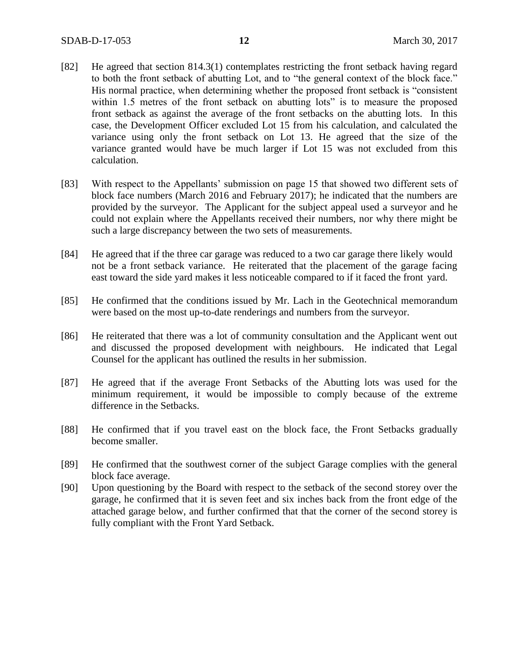- [82] He agreed that section 814.3(1) contemplates restricting the front setback having regard to both the front setback of abutting Lot, and to "the general context of the block face." His normal practice, when determining whether the proposed front setback is "consistent within 1.5 metres of the front setback on abutting lots" is to measure the proposed front setback as against the average of the front setbacks on the abutting lots. In this case, the Development Officer excluded Lot 15 from his calculation, and calculated the variance using only the front setback on Lot 13. He agreed that the size of the variance granted would have be much larger if Lot 15 was not excluded from this calculation.
- [83] With respect to the Appellants' submission on page 15 that showed two different sets of block face numbers (March 2016 and February 2017); he indicated that the numbers are provided by the surveyor. The Applicant for the subject appeal used a surveyor and he could not explain where the Appellants received their numbers, nor why there might be such a large discrepancy between the two sets of measurements.
- [84] He agreed that if the three car garage was reduced to a two car garage there likely would not be a front setback variance. He reiterated that the placement of the garage facing east toward the side yard makes it less noticeable compared to if it faced the front yard.
- [85] He confirmed that the conditions issued by Mr. Lach in the Geotechnical memorandum were based on the most up-to-date renderings and numbers from the surveyor.
- [86] He reiterated that there was a lot of community consultation and the Applicant went out and discussed the proposed development with neighbours. He indicated that Legal Counsel for the applicant has outlined the results in her submission.
- [87] He agreed that if the average Front Setbacks of the Abutting lots was used for the minimum requirement, it would be impossible to comply because of the extreme difference in the Setbacks.
- [88] He confirmed that if you travel east on the block face, the Front Setbacks gradually become smaller.
- [89] He confirmed that the southwest corner of the subject Garage complies with the general block face average.
- [90] Upon questioning by the Board with respect to the setback of the second storey over the garage, he confirmed that it is seven feet and six inches back from the front edge of the attached garage below, and further confirmed that that the corner of the second storey is fully compliant with the Front Yard Setback.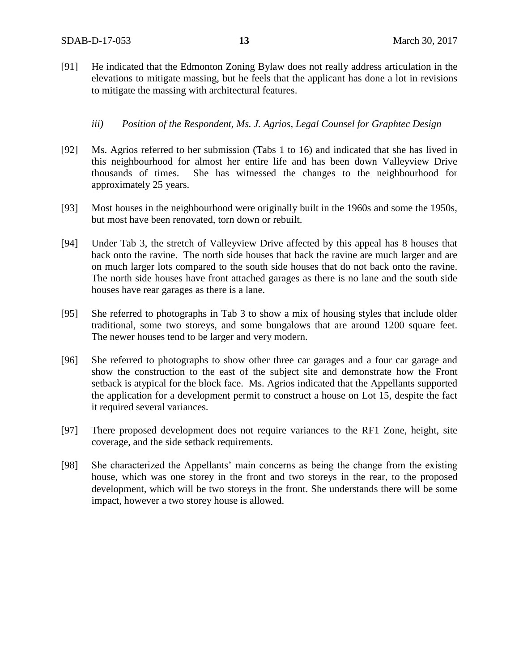[91] He indicated that the Edmonton Zoning Bylaw does not really address articulation in the elevations to mitigate massing, but he feels that the applicant has done a lot in revisions to mitigate the massing with architectural features.

## *iii) Position of the Respondent, Ms. J. Agrios, Legal Counsel for Graphtec Design*

- [92] Ms. Agrios referred to her submission (Tabs 1 to 16) and indicated that she has lived in this neighbourhood for almost her entire life and has been down Valleyview Drive thousands of times. She has witnessed the changes to the neighbourhood for approximately 25 years.
- [93] Most houses in the neighbourhood were originally built in the 1960s and some the 1950s, but most have been renovated, torn down or rebuilt.
- [94] Under Tab 3, the stretch of Valleyview Drive affected by this appeal has 8 houses that back onto the ravine. The north side houses that back the ravine are much larger and are on much larger lots compared to the south side houses that do not back onto the ravine. The north side houses have front attached garages as there is no lane and the south side houses have rear garages as there is a lane.
- [95] She referred to photographs in Tab 3 to show a mix of housing styles that include older traditional, some two storeys, and some bungalows that are around 1200 square feet. The newer houses tend to be larger and very modern.
- [96] She referred to photographs to show other three car garages and a four car garage and show the construction to the east of the subject site and demonstrate how the Front setback is atypical for the block face. Ms. Agrios indicated that the Appellants supported the application for a development permit to construct a house on Lot 15, despite the fact it required several variances.
- [97] There proposed development does not require variances to the RF1 Zone, height, site coverage, and the side setback requirements.
- [98] She characterized the Appellants' main concerns as being the change from the existing house, which was one storey in the front and two storeys in the rear, to the proposed development, which will be two storeys in the front. She understands there will be some impact, however a two storey house is allowed.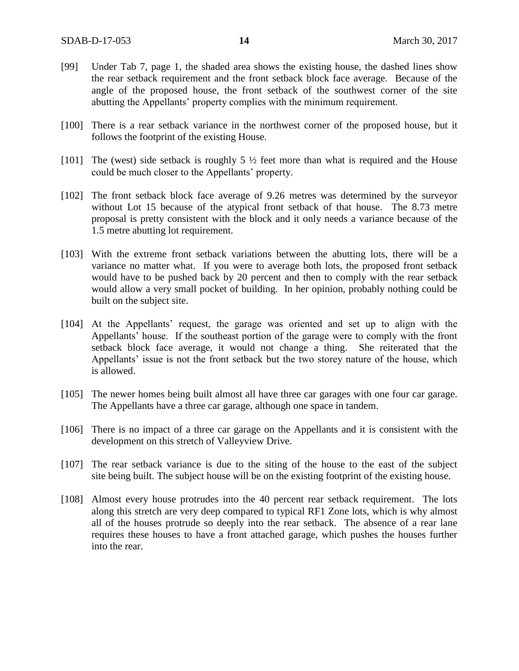- [99] Under Tab 7, page 1, the shaded area shows the existing house, the dashed lines show the rear setback requirement and the front setback block face average. Because of the angle of the proposed house, the front setback of the southwest corner of the site abutting the Appellants' property complies with the minimum requirement.
- [100] There is a rear setback variance in the northwest corner of the proposed house, but it follows the footprint of the existing House.
- [101] The (west) side setback is roughly  $5\frac{1}{2}$  feet more than what is required and the House could be much closer to the Appellants' property.
- [102] The front setback block face average of 9.26 metres was determined by the surveyor without Lot 15 because of the atypical front setback of that house. The 8.73 metre proposal is pretty consistent with the block and it only needs a variance because of the 1.5 metre abutting lot requirement.
- [103] With the extreme front setback variations between the abutting lots, there will be a variance no matter what. If you were to average both lots, the proposed front setback would have to be pushed back by 20 percent and then to comply with the rear setback would allow a very small pocket of building. In her opinion, probably nothing could be built on the subject site.
- [104] At the Appellants' request, the garage was oriented and set up to align with the Appellants' house. If the southeast portion of the garage were to comply with the front setback block face average, it would not change a thing. She reiterated that the Appellants' issue is not the front setback but the two storey nature of the house, which is allowed.
- [105] The newer homes being built almost all have three car garages with one four car garage. The Appellants have a three car garage, although one space in tandem.
- [106] There is no impact of a three car garage on the Appellants and it is consistent with the development on this stretch of Valleyview Drive.
- [107] The rear setback variance is due to the siting of the house to the east of the subject site being built. The subject house will be on the existing footprint of the existing house.
- [108] Almost every house protrudes into the 40 percent rear setback requirement. The lots along this stretch are very deep compared to typical RF1 Zone lots, which is why almost all of the houses protrude so deeply into the rear setback. The absence of a rear lane requires these houses to have a front attached garage, which pushes the houses further into the rear.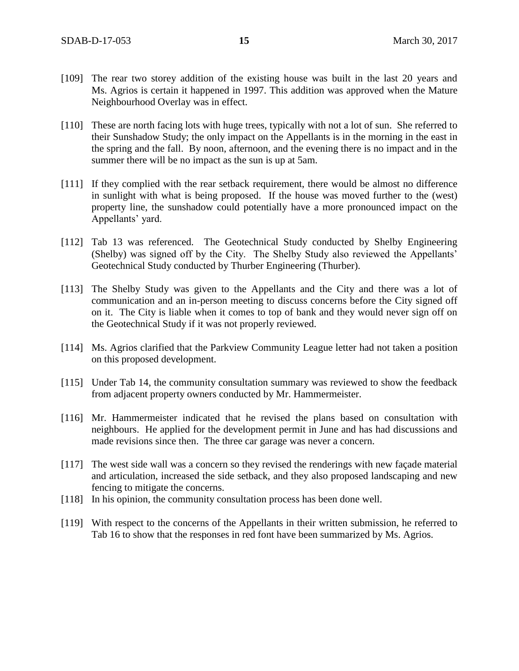- [109] The rear two storey addition of the existing house was built in the last 20 years and Ms. Agrios is certain it happened in 1997. This addition was approved when the Mature Neighbourhood Overlay was in effect.
- [110] These are north facing lots with huge trees, typically with not a lot of sun. She referred to their Sunshadow Study; the only impact on the Appellants is in the morning in the east in the spring and the fall. By noon, afternoon, and the evening there is no impact and in the summer there will be no impact as the sun is up at 5am.
- [111] If they complied with the rear setback requirement, there would be almost no difference in sunlight with what is being proposed. If the house was moved further to the (west) property line, the sunshadow could potentially have a more pronounced impact on the Appellants' yard.
- [112] Tab 13 was referenced. The Geotechnical Study conducted by Shelby Engineering (Shelby) was signed off by the City. The Shelby Study also reviewed the Appellants' Geotechnical Study conducted by Thurber Engineering (Thurber).
- [113] The Shelby Study was given to the Appellants and the City and there was a lot of communication and an in-person meeting to discuss concerns before the City signed off on it. The City is liable when it comes to top of bank and they would never sign off on the Geotechnical Study if it was not properly reviewed.
- [114] Ms. Agrios clarified that the Parkview Community League letter had not taken a position on this proposed development.
- [115] Under Tab 14, the community consultation summary was reviewed to show the feedback from adjacent property owners conducted by Mr. Hammermeister.
- [116] Mr. Hammermeister indicated that he revised the plans based on consultation with neighbours. He applied for the development permit in June and has had discussions and made revisions since then. The three car garage was never a concern.
- [117] The west side wall was a concern so they revised the renderings with new façade material and articulation, increased the side setback, and they also proposed landscaping and new fencing to mitigate the concerns.
- [118] In his opinion, the community consultation process has been done well.
- [119] With respect to the concerns of the Appellants in their written submission, he referred to Tab 16 to show that the responses in red font have been summarized by Ms. Agrios.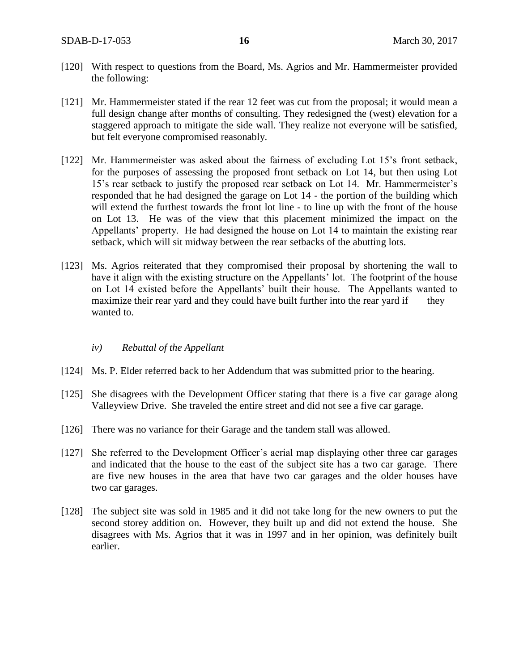- [120] With respect to questions from the Board, Ms. Agrios and Mr. Hammermeister provided the following:
- [121] Mr. Hammermeister stated if the rear 12 feet was cut from the proposal; it would mean a full design change after months of consulting. They redesigned the (west) elevation for a staggered approach to mitigate the side wall. They realize not everyone will be satisfied, but felt everyone compromised reasonably.
- [122] Mr. Hammermeister was asked about the fairness of excluding Lot 15's front setback, for the purposes of assessing the proposed front setback on Lot 14, but then using Lot 15's rear setback to justify the proposed rear setback on Lot 14. Mr. Hammermeister's responded that he had designed the garage on Lot 14 - the portion of the building which will extend the furthest towards the front lot line - to line up with the front of the house on Lot 13. He was of the view that this placement minimized the impact on the Appellants' property. He had designed the house on Lot 14 to maintain the existing rear setback, which will sit midway between the rear setbacks of the abutting lots.
- [123] Ms. Agrios reiterated that they compromised their proposal by shortening the wall to have it align with the existing structure on the Appellants' lot. The footprint of the house on Lot 14 existed before the Appellants' built their house. The Appellants wanted to maximize their rear yard and they could have built further into the rear yard if they wanted to.

#### *iv) Rebuttal of the Appellant*

- [124] Ms. P. Elder referred back to her Addendum that was submitted prior to the hearing.
- [125] She disagrees with the Development Officer stating that there is a five car garage along Valleyview Drive. She traveled the entire street and did not see a five car garage.
- [126] There was no variance for their Garage and the tandem stall was allowed.
- [127] She referred to the Development Officer's aerial map displaying other three car garages and indicated that the house to the east of the subject site has a two car garage. There are five new houses in the area that have two car garages and the older houses have two car garages.
- [128] The subject site was sold in 1985 and it did not take long for the new owners to put the second storey addition on. However, they built up and did not extend the house. She disagrees with Ms. Agrios that it was in 1997 and in her opinion, was definitely built earlier.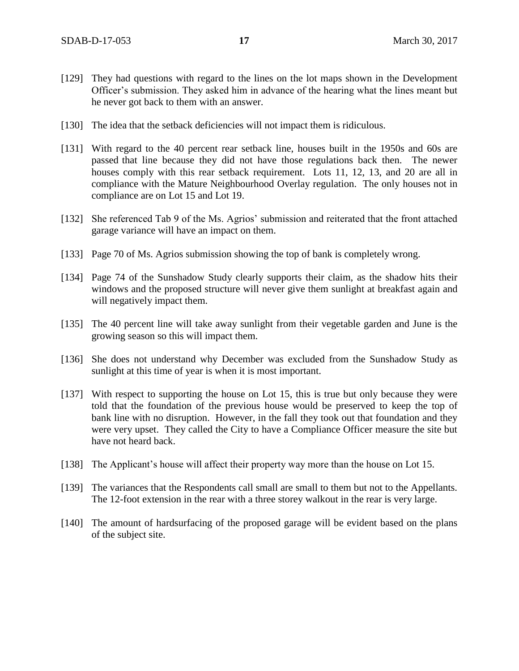- [129] They had questions with regard to the lines on the lot maps shown in the Development Officer's submission. They asked him in advance of the hearing what the lines meant but he never got back to them with an answer.
- [130] The idea that the setback deficiencies will not impact them is ridiculous.
- [131] With regard to the 40 percent rear setback line, houses built in the 1950s and 60s are passed that line because they did not have those regulations back then. The newer houses comply with this rear setback requirement. Lots 11, 12, 13, and 20 are all in compliance with the Mature Neighbourhood Overlay regulation. The only houses not in compliance are on Lot 15 and Lot 19.
- [132] She referenced Tab 9 of the Ms. Agrios' submission and reiterated that the front attached garage variance will have an impact on them.
- [133] Page 70 of Ms. Agrios submission showing the top of bank is completely wrong.
- [134] Page 74 of the Sunshadow Study clearly supports their claim, as the shadow hits their windows and the proposed structure will never give them sunlight at breakfast again and will negatively impact them.
- [135] The 40 percent line will take away sunlight from their vegetable garden and June is the growing season so this will impact them.
- [136] She does not understand why December was excluded from the Sunshadow Study as sunlight at this time of year is when it is most important.
- [137] With respect to supporting the house on Lot 15, this is true but only because they were told that the foundation of the previous house would be preserved to keep the top of bank line with no disruption. However, in the fall they took out that foundation and they were very upset. They called the City to have a Compliance Officer measure the site but have not heard back.
- [138] The Applicant's house will affect their property way more than the house on Lot 15.
- [139] The variances that the Respondents call small are small to them but not to the Appellants. The 12-foot extension in the rear with a three storey walkout in the rear is very large.
- [140] The amount of hardsurfacing of the proposed garage will be evident based on the plans of the subject site.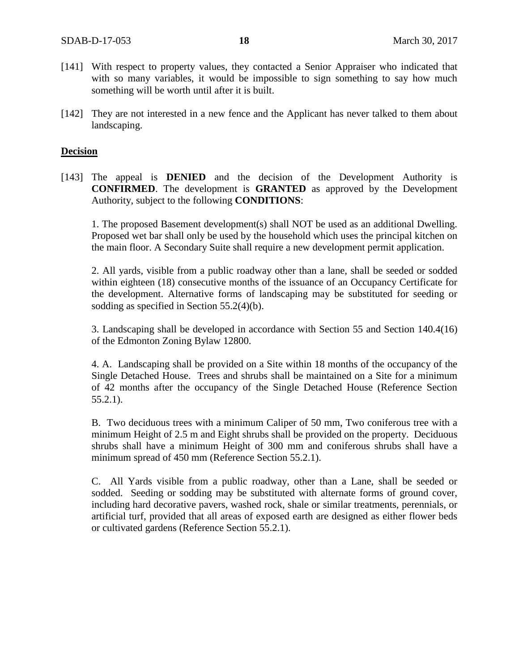- [141] With respect to property values, they contacted a Senior Appraiser who indicated that with so many variables, it would be impossible to sign something to say how much something will be worth until after it is built.
- [142] They are not interested in a new fence and the Applicant has never talked to them about landscaping.

#### **Decision**

[143] The appeal is **DENIED** and the decision of the Development Authority is **CONFIRMED**. The development is **GRANTED** as approved by the Development Authority, subject to the following **CONDITIONS**:

1. The proposed Basement development(s) shall NOT be used as an additional Dwelling. Proposed wet bar shall only be used by the household which uses the principal kitchen on the main floor. A Secondary Suite shall require a new development permit application.

2. All yards, visible from a public roadway other than a lane, shall be seeded or sodded within eighteen (18) consecutive months of the issuance of an Occupancy Certificate for the development. Alternative forms of landscaping may be substituted for seeding or sodding as specified in Section 55.2(4)(b).

3. Landscaping shall be developed in accordance with Section 55 and Section 140.4(16) of the Edmonton Zoning Bylaw 12800.

4. A. Landscaping shall be provided on a Site within 18 months of the occupancy of the Single Detached House. Trees and shrubs shall be maintained on a Site for a minimum of 42 months after the occupancy of the Single Detached House (Reference Section 55.2.1).

B. Two deciduous trees with a minimum Caliper of 50 mm, Two coniferous tree with a minimum Height of 2.5 m and Eight shrubs shall be provided on the property. Deciduous shrubs shall have a minimum Height of 300 mm and coniferous shrubs shall have a minimum spread of 450 mm (Reference Section 55.2.1).

C. All Yards visible from a public roadway, other than a Lane, shall be seeded or sodded. Seeding or sodding may be substituted with alternate forms of ground cover, including hard decorative pavers, washed rock, shale or similar treatments, perennials, or artificial turf, provided that all areas of exposed earth are designed as either flower beds or cultivated gardens (Reference Section 55.2.1).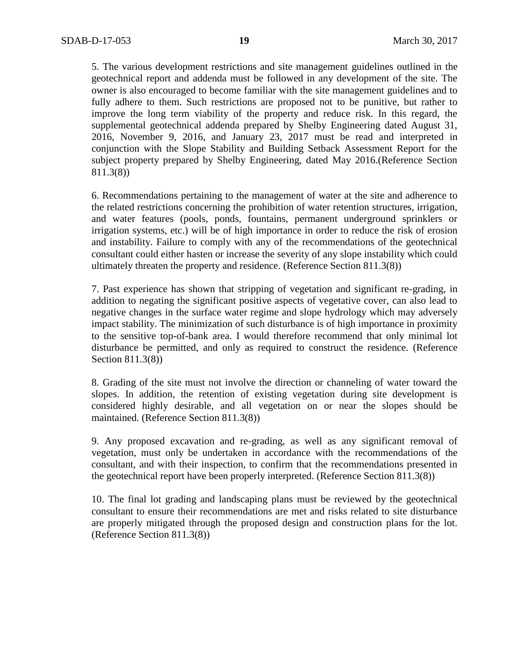5. The various development restrictions and site management guidelines outlined in the geotechnical report and addenda must be followed in any development of the site. The owner is also encouraged to become familiar with the site management guidelines and to fully adhere to them. Such restrictions are proposed not to be punitive, but rather to improve the long term viability of the property and reduce risk. In this regard, the supplemental geotechnical addenda prepared by Shelby Engineering dated August 31, 2016, November 9, 2016, and January 23, 2017 must be read and interpreted in conjunction with the Slope Stability and Building Setback Assessment Report for the subject property prepared by Shelby Engineering, dated May 2016.(Reference Section 811.3(8))

6. Recommendations pertaining to the management of water at the site and adherence to the related restrictions concerning the prohibition of water retention structures, irrigation, and water features (pools, ponds, fountains, permanent underground sprinklers or irrigation systems, etc.) will be of high importance in order to reduce the risk of erosion and instability. Failure to comply with any of the recommendations of the geotechnical consultant could either hasten or increase the severity of any slope instability which could ultimately threaten the property and residence. (Reference Section 811.3(8))

7. Past experience has shown that stripping of vegetation and significant re-grading, in addition to negating the significant positive aspects of vegetative cover, can also lead to negative changes in the surface water regime and slope hydrology which may adversely impact stability. The minimization of such disturbance is of high importance in proximity to the sensitive top-of-bank area. I would therefore recommend that only minimal lot disturbance be permitted, and only as required to construct the residence. (Reference Section 811.3(8))

8. Grading of the site must not involve the direction or channeling of water toward the slopes. In addition, the retention of existing vegetation during site development is considered highly desirable, and all vegetation on or near the slopes should be maintained. (Reference Section 811.3(8))

9. Any proposed excavation and re-grading, as well as any significant removal of vegetation, must only be undertaken in accordance with the recommendations of the consultant, and with their inspection, to confirm that the recommendations presented in the geotechnical report have been properly interpreted. (Reference Section 811.3(8))

10. The final lot grading and landscaping plans must be reviewed by the geotechnical consultant to ensure their recommendations are met and risks related to site disturbance are properly mitigated through the proposed design and construction plans for the lot. (Reference Section 811.3(8))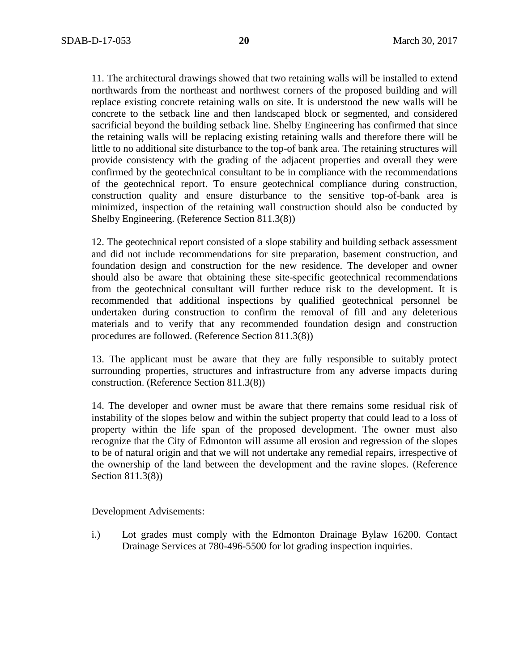11. The architectural drawings showed that two retaining walls will be installed to extend northwards from the northeast and northwest corners of the proposed building and will replace existing concrete retaining walls on site. It is understood the new walls will be concrete to the setback line and then landscaped block or segmented, and considered sacrificial beyond the building setback line. Shelby Engineering has confirmed that since the retaining walls will be replacing existing retaining walls and therefore there will be little to no additional site disturbance to the top-of bank area. The retaining structures will provide consistency with the grading of the adjacent properties and overall they were confirmed by the geotechnical consultant to be in compliance with the recommendations of the geotechnical report. To ensure geotechnical compliance during construction, construction quality and ensure disturbance to the sensitive top-of-bank area is minimized, inspection of the retaining wall construction should also be conducted by Shelby Engineering. (Reference Section 811.3(8))

12. The geotechnical report consisted of a slope stability and building setback assessment and did not include recommendations for site preparation, basement construction, and foundation design and construction for the new residence. The developer and owner should also be aware that obtaining these site-specific geotechnical recommendations from the geotechnical consultant will further reduce risk to the development. It is recommended that additional inspections by qualified geotechnical personnel be undertaken during construction to confirm the removal of fill and any deleterious materials and to verify that any recommended foundation design and construction procedures are followed. (Reference Section 811.3(8))

13. The applicant must be aware that they are fully responsible to suitably protect surrounding properties, structures and infrastructure from any adverse impacts during construction. (Reference Section 811.3(8))

14. The developer and owner must be aware that there remains some residual risk of instability of the slopes below and within the subject property that could lead to a loss of property within the life span of the proposed development. The owner must also recognize that the City of Edmonton will assume all erosion and regression of the slopes to be of natural origin and that we will not undertake any remedial repairs, irrespective of the ownership of the land between the development and the ravine slopes. (Reference Section 811.3(8))

Development Advisements:

i.) Lot grades must comply with the Edmonton Drainage Bylaw 16200. Contact Drainage Services at 780-496-5500 for lot grading inspection inquiries.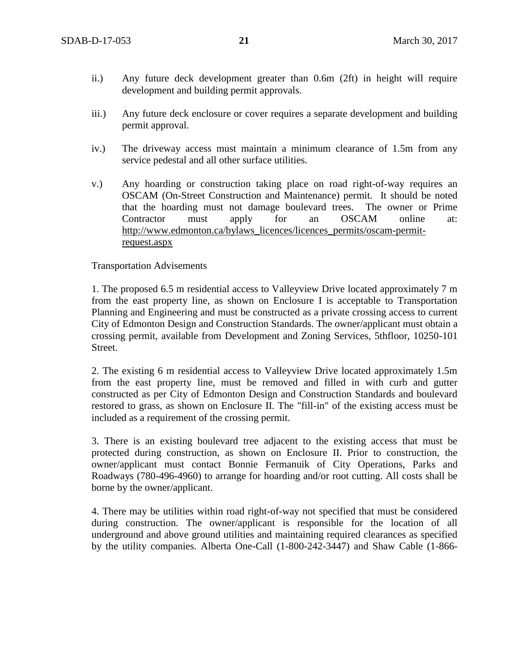- ii.) Any future deck development greater than 0.6m (2ft) in height will require development and building permit approvals.
- iii.) Any future deck enclosure or cover requires a separate development and building permit approval.
- iv.) The driveway access must maintain a minimum clearance of 1.5m from any service pedestal and all other surface utilities.
- v.) Any hoarding or construction taking place on road right-of-way requires an OSCAM (On-Street Construction and Maintenance) permit. It should be noted that the hoarding must not damage boulevard trees. The owner or Prime Contractor must apply for an OSCAM online at: [http://www.edmonton.ca/bylaws\\_licences/licences\\_permits/oscam-permit](http://www.edmonton.ca/bylaws_licences/licences_permits/oscam-permit-request.aspx)[request.aspx](http://www.edmonton.ca/bylaws_licences/licences_permits/oscam-permit-request.aspx)

### Transportation Advisements

1. The proposed 6.5 m residential access to Valleyview Drive located approximately 7 m from the east property line, as shown on Enclosure I is acceptable to Transportation Planning and Engineering and must be constructed as a private crossing access to current City of Edmonton Design and Construction Standards. The owner/applicant must obtain a crossing permit, available from Development and Zoning Services, 5thfloor, 10250-101 Street.

2. The existing 6 m residential access to Valleyview Drive located approximately 1.5m from the east property line, must be removed and filled in with curb and gutter constructed as per City of Edmonton Design and Construction Standards and boulevard restored to grass, as shown on Enclosure II. The "fill-in" of the existing access must be included as a requirement of the crossing permit.

3. There is an existing boulevard tree adjacent to the existing access that must be protected during construction, as shown on Enclosure II. Prior to construction, the owner/applicant must contact Bonnie Fermanuik of City Operations, Parks and Roadways (780-496-4960) to arrange for hoarding and/or root cutting. All costs shall be borne by the owner/applicant.

4. There may be utilities within road right-of-way not specified that must be considered during construction. The owner/applicant is responsible for the location of all underground and above ground utilities and maintaining required clearances as specified by the utility companies. Alberta One-Call (1-800-242-3447) and Shaw Cable (1-866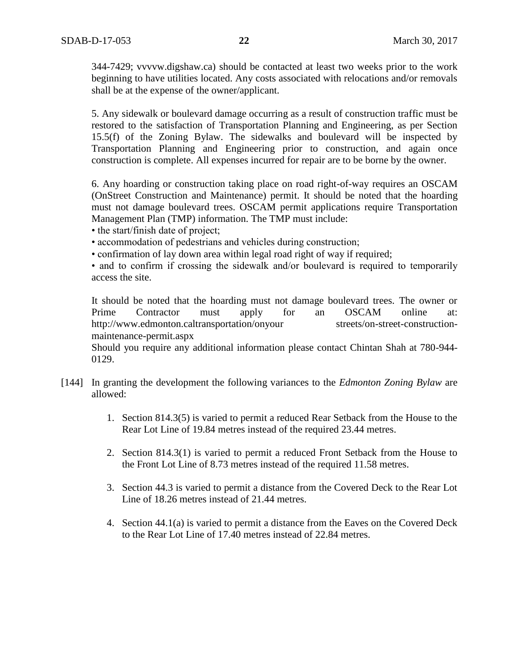344-7429; vvvvw.digshaw.ca) should be contacted at least two weeks prior to the work beginning to have utilities located. Any costs associated with relocations and/or removals shall be at the expense of the owner/applicant.

5. Any sidewalk or boulevard damage occurring as a result of construction traffic must be restored to the satisfaction of Transportation Planning and Engineering, as per Section 15.5(f) of the Zoning Bylaw. The sidewalks and boulevard will be inspected by Transportation Planning and Engineering prior to construction, and again once construction is complete. All expenses incurred for repair are to be borne by the owner.

6. Any hoarding or construction taking place on road right-of-way requires an OSCAM (OnStreet Construction and Maintenance) permit. It should be noted that the hoarding must not damage boulevard trees. OSCAM permit applications require Transportation Management Plan (TMP) information. The TMP must include:

• the start/finish date of project;

• accommodation of pedestrians and vehicles during construction;

• confirmation of lay down area within legal road right of way if required;

• and to confirm if crossing the sidewalk and/or boulevard is required to temporarily access the site.

It should be noted that the hoarding must not damage boulevard trees. The owner or Prime Contractor must apply for an OSCAM online at: http://www.edmonton.caltransportation/onyour streets/on-street-constructionmaintenance-permit.aspx

Should you require any additional information please contact Chintan Shah at 780-944- 0129.

- [144] In granting the development the following variances to the *Edmonton Zoning Bylaw* are allowed:
	- 1. Section 814.3(5) is varied to permit a reduced Rear Setback from the House to the Rear Lot Line of 19.84 metres instead of the required 23.44 metres.
	- 2. Section 814.3(1) is varied to permit a reduced Front Setback from the House to the Front Lot Line of 8.73 metres instead of the required 11.58 metres.
	- 3. Section 44.3 is varied to permit a distance from the Covered Deck to the Rear Lot Line of 18.26 metres instead of 21.44 metres.
	- 4. Section 44.1(a) is varied to permit a distance from the Eaves on the Covered Deck to the Rear Lot Line of 17.40 metres instead of 22.84 metres.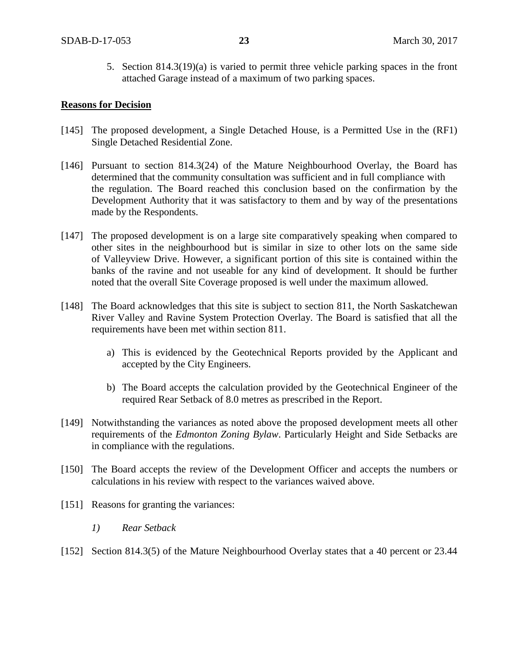5. Section 814.3(19)(a) is varied to permit three vehicle parking spaces in the front attached Garage instead of a maximum of two parking spaces.

#### **Reasons for Decision**

- [145] The proposed development, a Single Detached House, is a Permitted Use in the (RF1) Single Detached Residential Zone.
- [146] Pursuant to section 814.3(24) of the Mature Neighbourhood Overlay, the Board has determined that the community consultation was sufficient and in full compliance with the regulation. The Board reached this conclusion based on the confirmation by the Development Authority that it was satisfactory to them and by way of the presentations made by the Respondents.
- [147] The proposed development is on a large site comparatively speaking when compared to other sites in the neighbourhood but is similar in size to other lots on the same side of Valleyview Drive. However, a significant portion of this site is contained within the banks of the ravine and not useable for any kind of development. It should be further noted that the overall Site Coverage proposed is well under the maximum allowed.
- [148] The Board acknowledges that this site is subject to section 811, the North Saskatchewan River Valley and Ravine System Protection Overlay. The Board is satisfied that all the requirements have been met within section 811.
	- a) This is evidenced by the Geotechnical Reports provided by the Applicant and accepted by the City Engineers.
	- b) The Board accepts the calculation provided by the Geotechnical Engineer of the required Rear Setback of 8.0 metres as prescribed in the Report.
- [149] Notwithstanding the variances as noted above the proposed development meets all other requirements of the *Edmonton Zoning Bylaw*. Particularly Height and Side Setbacks are in compliance with the regulations.
- [150] The Board accepts the review of the Development Officer and accepts the numbers or calculations in his review with respect to the variances waived above.
- [151] Reasons for granting the variances:
	- *1) Rear Setback*
- [152] Section 814.3(5) of the Mature Neighbourhood Overlay states that a 40 percent or 23.44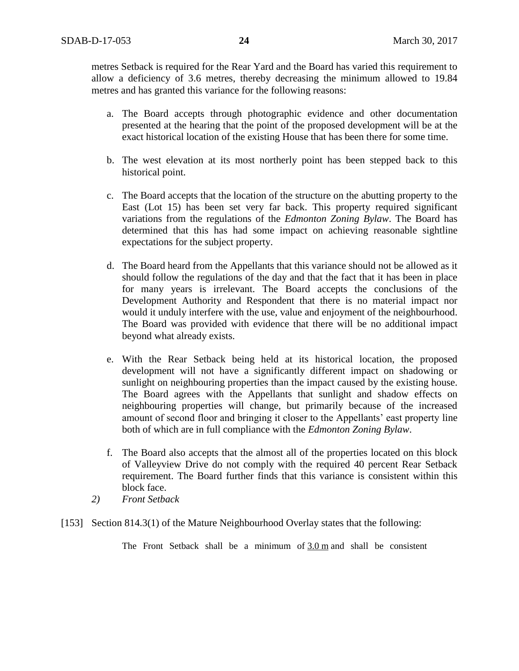metres Setback is required for the Rear Yard and the Board has varied this requirement to allow a deficiency of 3.6 metres, thereby decreasing the minimum allowed to 19.84 metres and has granted this variance for the following reasons:

- a. The Board accepts through photographic evidence and other documentation presented at the hearing that the point of the proposed development will be at the exact historical location of the existing House that has been there for some time.
- b. The west elevation at its most northerly point has been stepped back to this historical point.
- c. The Board accepts that the location of the structure on the abutting property to the East (Lot 15) has been set very far back. This property required significant variations from the regulations of the *Edmonton Zoning Bylaw*. The Board has determined that this has had some impact on achieving reasonable sightline expectations for the subject property.
- d. The Board heard from the Appellants that this variance should not be allowed as it should follow the regulations of the day and that the fact that it has been in place for many years is irrelevant. The Board accepts the conclusions of the Development Authority and Respondent that there is no material impact nor would it unduly interfere with the use, value and enjoyment of the neighbourhood. The Board was provided with evidence that there will be no additional impact beyond what already exists.
- e. With the Rear Setback being held at its historical location, the proposed development will not have a significantly different impact on shadowing or sunlight on neighbouring properties than the impact caused by the existing house. The Board agrees with the Appellants that sunlight and shadow effects on neighbouring properties will change, but primarily because of the increased amount of second floor and bringing it closer to the Appellants' east property line both of which are in full compliance with the *Edmonton Zoning Bylaw*.
- f. The Board also accepts that the almost all of the properties located on this block of Valleyview Drive do not comply with the required 40 percent Rear Setback requirement. The Board further finds that this variance is consistent within this block face.
- *2) Front Setback*
- [153] Section 814.3(1) of the Mature Neighbourhood Overlay states that the following:

The Front Setback shall be a minimum of 3.0 m and shall be consistent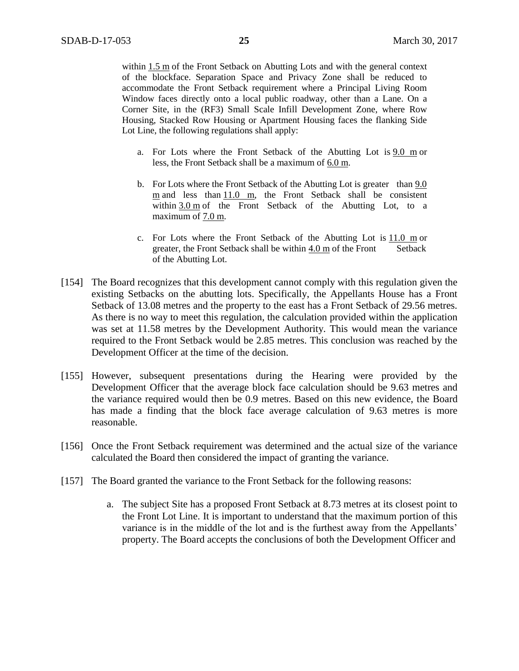within 1.5 m of the Front Setback on Abutting Lots and with the general context of the blockface. Separation Space and Privacy Zone shall be reduced to accommodate the Front Setback requirement where a Principal Living Room Window faces directly onto a local public roadway, other than a Lane. On a Corner Site, in the (RF3) Small Scale Infill Development Zone, where Row Housing, Stacked Row Housing or Apartment Housing faces the flanking Side Lot Line, the following regulations shall apply:

- a. For Lots where the Front Setback of the Abutting Lot is  $9.0 \text{ m}$  or less, the Front Setback shall be a maximum of 6.0 m.
- b. For Lots where the Front Setback of the Abutting Lot is greater than  $9.0$ m and less than 11.0 m, the Front Setback shall be consistent within  $3.0 \text{ m}$  of the Front Setback of the Abutting Lot, to a maximum of 7.0 m.
- c. For Lots where the Front Setback of the Abutting Lot is  $11.0 \text{ m}$  or greater, the Front Setback shall be within 4.0 m of the Front Setback of the Abutting Lot.
- [154] The Board recognizes that this development cannot comply with this regulation given the existing Setbacks on the abutting lots. Specifically, the Appellants House has a Front Setback of 13.08 metres and the property to the east has a Front Setback of 29.56 metres. As there is no way to meet this regulation, the calculation provided within the application was set at 11.58 metres by the Development Authority. This would mean the variance required to the Front Setback would be 2.85 metres. This conclusion was reached by the Development Officer at the time of the decision.
- [155] However, subsequent presentations during the Hearing were provided by the Development Officer that the average block face calculation should be 9.63 metres and the variance required would then be 0.9 metres. Based on this new evidence, the Board has made a finding that the block face average calculation of 9.63 metres is more reasonable.
- [156] Once the Front Setback requirement was determined and the actual size of the variance calculated the Board then considered the impact of granting the variance.
- [157] The Board granted the variance to the Front Setback for the following reasons:
	- a. The subject Site has a proposed Front Setback at 8.73 metres at its closest point to the Front Lot Line. It is important to understand that the maximum portion of this variance is in the middle of the lot and is the furthest away from the Appellants' property. The Board accepts the conclusions of both the Development Officer and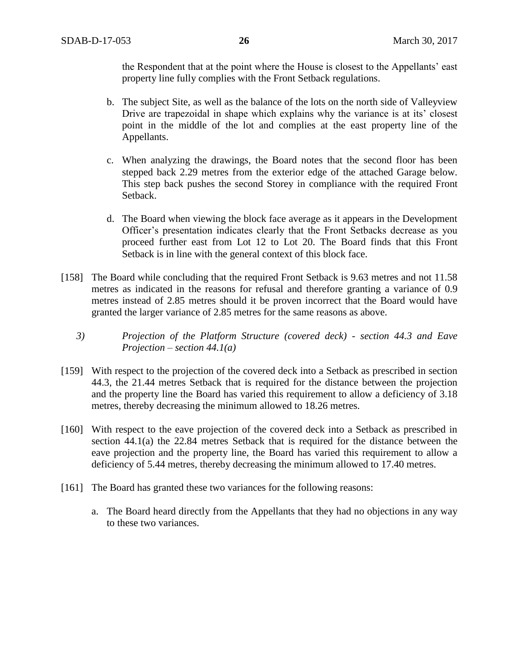the Respondent that at the point where the House is closest to the Appellants' east property line fully complies with the Front Setback regulations.

- b. The subject Site, as well as the balance of the lots on the north side of Valleyview Drive are trapezoidal in shape which explains why the variance is at its' closest point in the middle of the lot and complies at the east property line of the Appellants.
- c. When analyzing the drawings, the Board notes that the second floor has been stepped back 2.29 metres from the exterior edge of the attached Garage below. This step back pushes the second Storey in compliance with the required Front Setback.
- d. The Board when viewing the block face average as it appears in the Development Officer's presentation indicates clearly that the Front Setbacks decrease as you proceed further east from Lot 12 to Lot 20. The Board finds that this Front Setback is in line with the general context of this block face.
- [158] The Board while concluding that the required Front Setback is 9.63 metres and not 11.58 metres as indicated in the reasons for refusal and therefore granting a variance of 0.9 metres instead of 2.85 metres should it be proven incorrect that the Board would have granted the larger variance of 2.85 metres for the same reasons as above.
	- *3) Projection of the Platform Structure (covered deck) - section 44.3 and Eave Projection – section 44.1(a)*
- [159] With respect to the projection of the covered deck into a Setback as prescribed in section 44.3, the 21.44 metres Setback that is required for the distance between the projection and the property line the Board has varied this requirement to allow a deficiency of 3.18 metres, thereby decreasing the minimum allowed to 18.26 metres.
- [160] With respect to the eave projection of the covered deck into a Setback as prescribed in section 44.1(a) the 22.84 metres Setback that is required for the distance between the eave projection and the property line, the Board has varied this requirement to allow a deficiency of 5.44 metres, thereby decreasing the minimum allowed to 17.40 metres.
- [161] The Board has granted these two variances for the following reasons:
	- a. The Board heard directly from the Appellants that they had no objections in any way to these two variances.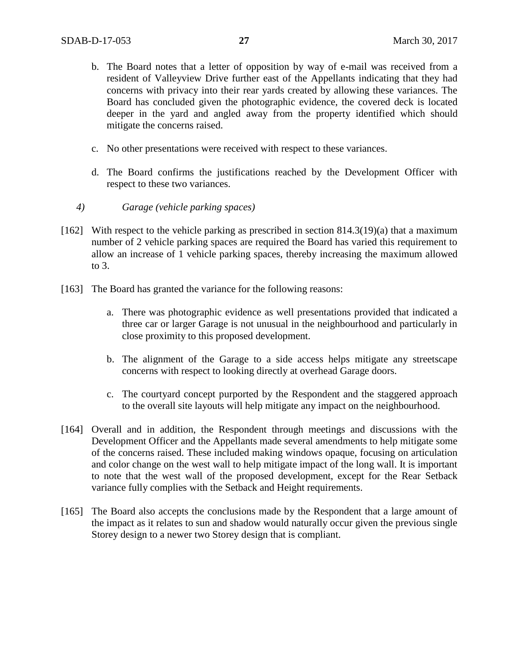- b. The Board notes that a letter of opposition by way of e-mail was received from a resident of Valleyview Drive further east of the Appellants indicating that they had concerns with privacy into their rear yards created by allowing these variances. The Board has concluded given the photographic evidence, the covered deck is located deeper in the yard and angled away from the property identified which should mitigate the concerns raised.
- c. No other presentations were received with respect to these variances.
- d. The Board confirms the justifications reached by the Development Officer with respect to these two variances.
- *4) Garage (vehicle parking spaces)*
- [162] With respect to the vehicle parking as prescribed in section 814.3(19)(a) that a maximum number of 2 vehicle parking spaces are required the Board has varied this requirement to allow an increase of 1 vehicle parking spaces, thereby increasing the maximum allowed to 3.
- [163] The Board has granted the variance for the following reasons:
	- a. There was photographic evidence as well presentations provided that indicated a three car or larger Garage is not unusual in the neighbourhood and particularly in close proximity to this proposed development.
	- b. The alignment of the Garage to a side access helps mitigate any streetscape concerns with respect to looking directly at overhead Garage doors.
	- c. The courtyard concept purported by the Respondent and the staggered approach to the overall site layouts will help mitigate any impact on the neighbourhood.
- [164] Overall and in addition, the Respondent through meetings and discussions with the Development Officer and the Appellants made several amendments to help mitigate some of the concerns raised. These included making windows opaque, focusing on articulation and color change on the west wall to help mitigate impact of the long wall. It is important to note that the west wall of the proposed development, except for the Rear Setback variance fully complies with the Setback and Height requirements.
- [165] The Board also accepts the conclusions made by the Respondent that a large amount of the impact as it relates to sun and shadow would naturally occur given the previous single Storey design to a newer two Storey design that is compliant.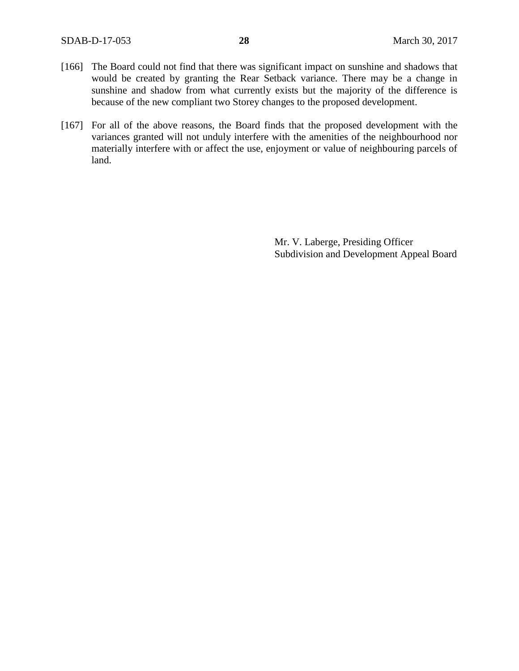- [166] The Board could not find that there was significant impact on sunshine and shadows that would be created by granting the Rear Setback variance. There may be a change in sunshine and shadow from what currently exists but the majority of the difference is because of the new compliant two Storey changes to the proposed development.
- [167] For all of the above reasons, the Board finds that the proposed development with the variances granted will not unduly interfere with the amenities of the neighbourhood nor materially interfere with or affect the use, enjoyment or value of neighbouring parcels of land.

Mr. V. Laberge, Presiding Officer Subdivision and Development Appeal Board